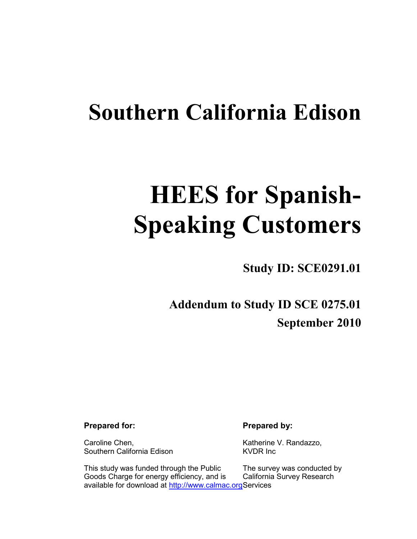# **Southern California Edison**

# **HEES for Spanish-Speaking Customers**

**Study ID: SCE0291.01**

**Addendum to Study ID SCE 0275.01 September 2010**

**Prepared for:**

Caroline Chen, Southern California Edison **Prepared by:**

Katherine V. Randazzo, KVDR Inc

This study was funded through the Public Goods Charge for energy efficiency, and is available for download at [http://www.calmac.org](http://www.calmac.org/)Services The survey was conducted by California Survey Research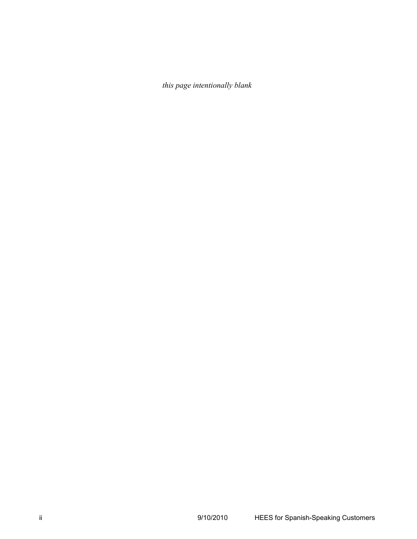*this page intentionally blank*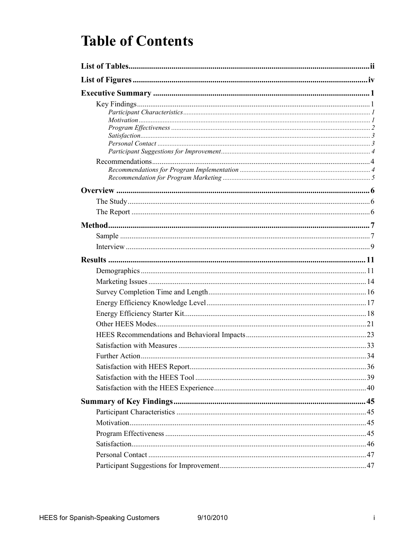## **Table of Contents**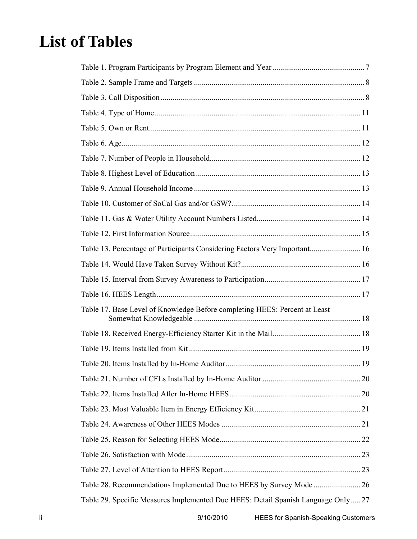## <span id="page-3-0"></span>**List of Tables**

| Table 13. Percentage of Participants Considering Factors Very Important 16 |  |
|----------------------------------------------------------------------------|--|
|                                                                            |  |
|                                                                            |  |
|                                                                            |  |
|                                                                            |  |
| Table 17. Base Level of Knowledge Before completing HEES: Percent at Least |  |
|                                                                            |  |
|                                                                            |  |
|                                                                            |  |
|                                                                            |  |
|                                                                            |  |
|                                                                            |  |
|                                                                            |  |
|                                                                            |  |
|                                                                            |  |
|                                                                            |  |
| Table 28. Recommendations Implemented Due to HEES by Survey Mode  26       |  |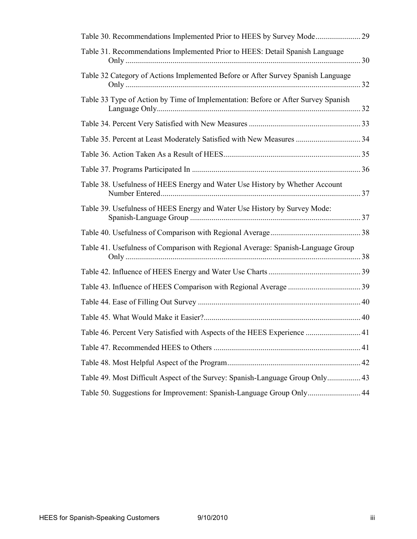| Table 31. Recommendations Implemented Prior to HEES: Detail Spanish Language      |  |
|-----------------------------------------------------------------------------------|--|
| Table 32 Category of Actions Implemented Before or After Survey Spanish Language  |  |
| Table 33 Type of Action by Time of Implementation: Before or After Survey Spanish |  |
|                                                                                   |  |
| Table 35. Percent at Least Moderately Satisfied with New Measures  34             |  |
|                                                                                   |  |
|                                                                                   |  |
| Table 38. Usefulness of HEES Energy and Water Use History by Whether Account      |  |
| Table 39. Usefulness of HEES Energy and Water Use History by Survey Mode:         |  |
|                                                                                   |  |
| Table 41. Usefulness of Comparison with Regional Average: Spanish-Language Group  |  |
|                                                                                   |  |
|                                                                                   |  |
|                                                                                   |  |
|                                                                                   |  |
| Table 46. Percent Very Satisfied with Aspects of the HEES Experience  41          |  |
|                                                                                   |  |
|                                                                                   |  |
| Table 49. Most Difficult Aspect of the Survey: Spanish-Language Group Only 43     |  |
| Table 50. Suggestions for Improvement: Spanish-Language Group Only44              |  |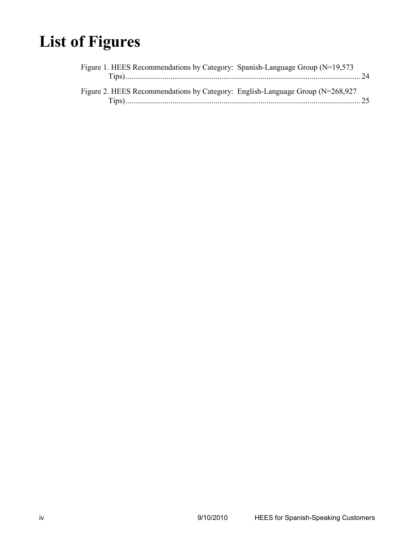## <span id="page-5-0"></span>**List of Figures**

| Figure 1. HEES Recommendations by Category: Spanish-Language Group (N=19,573)  |  |
|--------------------------------------------------------------------------------|--|
|                                                                                |  |
| Figure 2. HEES Recommendations by Category: English-Language Group (N=268,927) |  |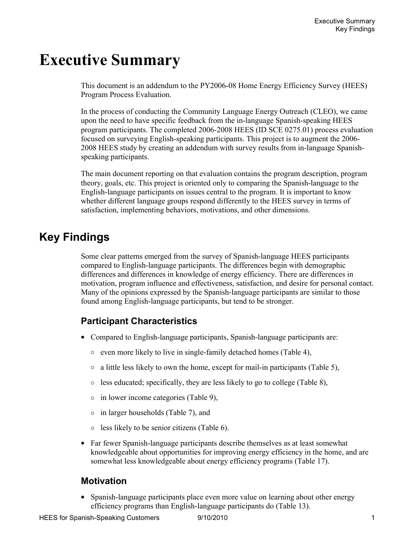## <span id="page-6-1"></span><span id="page-6-0"></span>**Executive Summary**

<span id="page-6-2"></span>This document is an addendum to the PY2006-08 Home Energy Efficiency Survey (HEES) Program Process Evaluation.

In the process of conducting the Community Language Energy Outreach (CLEO), we came upon the need to have specific feedback from the in-language Spanish-speaking HEES program participants. The completed 2006-2008 HEES (ID SCE 0275.01) process evaluation focused on surveying English-speaking participants. This project is to augment the 2006- 2008 HEES study by creating an addendum with survey results from in-language Spanishspeaking participants.

The main document reporting on that evaluation contains the program description, program theory, goals, etc. This project is oriented only to comparing the Spanish-language to the English-language participants on issues central to the program. It is important to know whether different language groups respond differently to the HEES survey in terms of satisfaction, implementing behaviors, motivations, and other dimensions.

## **Key Findings**

Some clear patterns emerged from the survey of Spanish-language HEES participants compared to English-language participants. The differences begin with demographic differences and differences in knowledge of energy efficiency. There are differences in motivation, program influence and effectiveness, satisfaction, and desire for personal contact. Many of the opinions expressed by the Spanish-language participants are similar to those found among English-language participants, but tend to be stronger.

#### **Participant Characteristics**

- Compared to English-language participants, Spanish-language participants are:
	- $\circ$  even more likely to live in single-family detached homes [\(Table 4\)](#page-16-2),
	- $\circ$ a little less likely to own the home, except for mail-in participants ([Table 5\)](#page-16-3),
	- $\circ$  less educated; specifically, they are less likely to go to college [\(Table 8\)](#page-18-0),
	- in lower income categories [\(Table 9](#page-18-1)),
	- $\circ$ in larger households ([Table 7](#page-17-1)), and
	- $\circ$ less likely to be senior citizens ([Table 6\)](#page-17-0).
- Far fewer Spanish-language participants describe themselves as at least somewhat knowledgeable about opportunities for improving energy efficiency in the home, and are somewhat less knowledgeable about energy efficiency programs([Table 17](#page-23-1)).

#### **Motivation**

• Spanish-language participants place even more value on learning about other energy efficiency programs than English-language participantsdo([Table 13](#page-21-1)).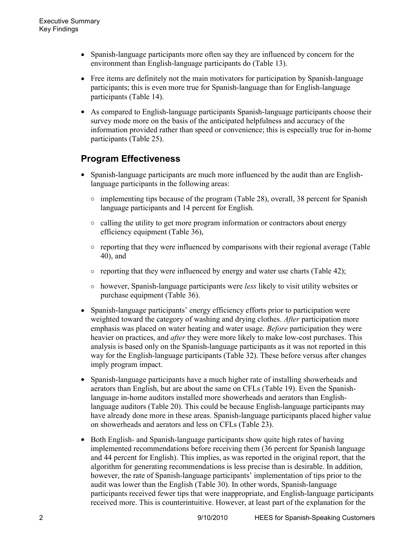- <span id="page-7-0"></span> Spanish-language participants more often say they are influenced by concern for the environment than English-language participantsdo([Table 13](#page-21-1)).
- Free items are definitely not the main motivators for participation by Spanish-language participants; this is even more true for Spanish-language than for English-language participants([Table 14](#page-21-2)).
- As compared to English-language participants Spanish-language participants choose their survey mode more on the basis of the anticipated helpfulness and accuracy of the information provided rather than speed or convenience; this is especially true for in-home participants([Table 25](#page-27-0)).

#### **Program Effectiveness**

- Spanish-language participants are much more influenced by the audit than are Englishlanguage participants in the following areas:
	- $\circ$  implementing tips because of the program [\(Table 28\)](#page-31-0), overall, 38 percent for Spanish language participants and 14 percent for English.
	- $\circ$  calling the utility to get more program information or contractors about energy efficiency equipment([Table 36](#page-40-0)),
	- $\circ$  reporting that they were influenced by comparisons with their regional average [\(Table](#page-43-0) [40](#page-43-0)), and
	- $\circ$ reporting that they were influenced by energy and water use charts ([Table 42](#page-44-1));
	- however, Spanish-language participants were *less* likely to visit utility websites or purchase equipment([Table 36](#page-40-0)).
- Spanish-language participants' energy efficiency efforts prior to participation were weighted toward the category of washing and drying clothes. *After* participation more emphasis was placed on water heating and water usage. *Before* participation they were heavier on practices, and *after* they were more likely to make low-cost purchases. This analysis is based only on the Spanish-language participants as it was not reported in this way for the English-language participants [\(Table 32\)](#page-37-0). These before versus after changes imply program impact.
- Spanish-language participants have a much higher rate of installing showerheads and aerators than English, but are about the same on CFLs([Table 19](#page-24-0)). Even the Spanishlanguage in-home auditors installed more showerheads and aerators than Englishlanguage auditors [\(Table 20\)](#page-24-1). This could be because English-language participants may have already done more in these areas. Spanish-language participants placed higher value on showerheads and aerators and less on CFLs([Table 23](#page-26-1)).
- Both English- and Spanish-language participants show quite high rates of having implemented recommendations before receiving them (36 percent for Spanish language and 44 percent for English). This implies, as was reported in the original report, that the algorithm for generating recommendations is less precise than is desirable. In addition, however, the rate of Spanish-language participants' implementation of tips prior to the audit was lower than the English [\(Table 30\)](#page-34-0). In other words, Spanish-language participants received fewer tips that were inappropriate, and English-language participants received more. This is counterintuitive. However, at least part of the explanation for the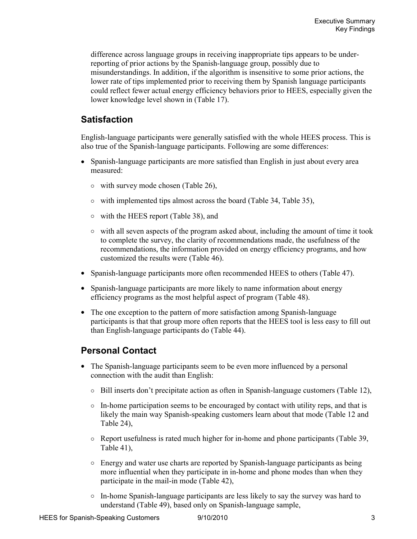<span id="page-8-0"></span>difference across language groups in receiving inappropriate tips appears to be underreporting of prior actions by the Spanish-language group, possibly due to misunderstandings. In addition, if the algorithm is insensitive to some prior actions, the lower rate of tips implemented prior to receiving them by Spanish language participants could reflect fewer actual energy efficiency behaviors prior to HEES, especially given the lower knowledge level shownin [\(Table 17\)](#page-23-1).

#### **Satisfaction**

English-language participants were generally satisfied with the whole HEES process. This is also true of the Spanish-language participants. Following are some differences:

- Spanish-language participants are more satisfied than English in just about every area measured:
	- $\circ$  with survey mode chosen [\(Table 26](#page-28-1)),
	- $\circ$  with implemented tips almost across the board [\(Table](#page-38-1)[34,](#page-38-1) [Table 35](#page-39-1)),
	- with the HEES report([Table 38](#page-42-0)), and
	- $\circ$  with all seven aspects of the program asked about, including the amount of time it took to complete the survey, the clarity of recommendations made, the usefulness of the recommendations, the information provided on energy efficiency programs, and how customized the resultswere([Table 46](#page-46-0)).
- Spanish-language participants more often recommended HEES to others [\(Table 47\)](#page-46-1).
- Spanish-language participants are more likely to name information about energy efficiency programs as the most helpful aspect of program([Table 48\)](#page-47-0).
- The one exception to the pattern of more satisfaction among Spanish-language participants is that that group more often reports that the HEES tool is less easy to fill out than English-language participantsdo([Table 44](#page-45-1)).

#### **Personal Contact**

- The Spanish-language participants seem to be even more influenced by a personal connection with the audit than English:
	- $\circ$ Bill inserts don't precipitate action as often in Spanish-language customers ([Table 12](#page-20-0)),
	- $\circ$  In-home participation seems to be encouraged by contact with utility reps, and that is likely the main way Spanish-speaking customers learn about that mode([Table 12](#page-20-0) and [Table 24](#page-26-2)),
	- $\circ$ Report usefulness is rated much higher for in-home and phone participants ([Table 39](#page-42-1), [Table 41](#page-43-1)),
	- Energy and water use charts are reported by Spanish-language participants as being more influential when they participate in in-home and phone modes than when they participate in the mail-in mode [\(Table 42\)](#page-44-1),
	- In-home Spanish-language participants are less likely to say the survey was hard to understand([Table 49](#page-48-0)), based only on Spanish-language sample,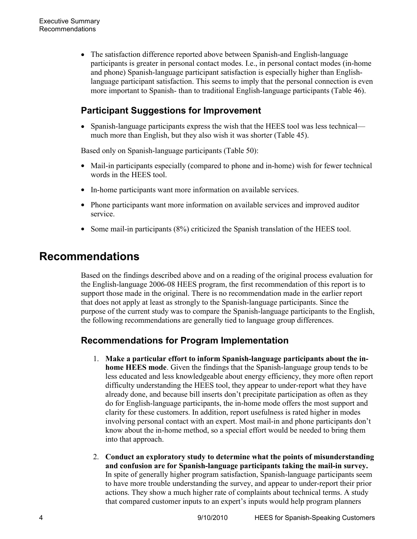<span id="page-9-1"></span><span id="page-9-0"></span> The satisfaction difference reported above between Spanish-and English-language participants is greater in personal contact modes. I.e., in personal contact modes (in-home and phone) Spanish-language participant satisfaction is especially higher than Englishlanguage participant satisfaction. This seems to imply that the personal connection is even more important to Spanish- than to traditional English-language participants [\(Table 46\)](#page-46-0).

#### **Participant Suggestions for Improvement**

• Spanish-language participants express the wish that the HEES tool was less technical much more than English, but they also wish it was shorter [\(Table 45](#page-45-2)).

Based only on Spanish-language participants [\(Table 50\)](#page-49-0):

- Mail-in participants especially (compared to phone and in-home) wish for fewer technical words in the HEES tool.
- In-home participants want more information on available services.
- Phone participants want more information on available services and improved auditor service.
- Some mail-in participants (8%) criticized the Spanish translation of the HEES tool.

### **Recommendations**

Based on the findings described above and on a reading of the original process evaluation for the English-language 2006-08 HEES program, the first recommendation of this report is to support those made in the original. There is no recommendation made in the earlier report that does not apply at least as strongly to the Spanish-language participants. Since the purpose of the current study was to compare the Spanish-language participants to the English, the following recommendations are generally tied to language group differences.

#### **Recommendations for Program Implementation**

- 1. **Make a particular effort to inform Spanish-language participants about the inhome HEES mode**. Given the findings that the Spanish-language group tends to be less educated and less knowledgeable about energy efficiency, they more often report difficulty understanding the HEES tool, they appear to under-report what they have already done, and because bill inserts don't precipitate participation as often as they do for English-language participants, the in-home mode offers the most support and clarity for these customers. In addition, report usefulness is rated higher in modes involving personal contact with an expert. Most mail-in and phone participants don't know about the in-home method, so a special effort would be needed to bring them into that approach.
- 2. **Conduct an exploratory study to determine what the points of misunderstanding and confusion are for Spanish-language participants taking the mail-in survey.** In spite of generally higher program satisfaction, Spanish-language participants seem to have more trouble understanding the survey, and appear to under-report their prior actions. They show a much higher rate of complaints about technical terms. A study that compared customer inputs to an expert's inputs would help program planners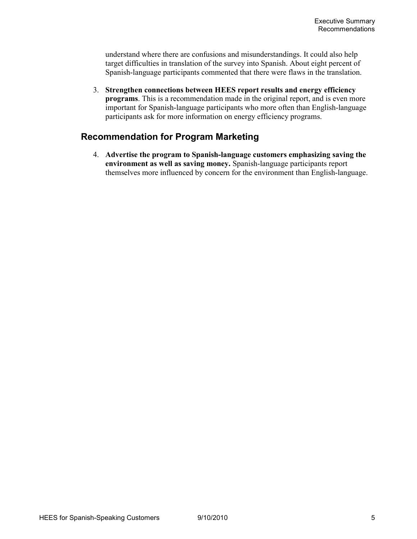<span id="page-10-0"></span>understand where there are confusions and misunderstandings. It could also help target difficulties in translation of the survey into Spanish. About eight percent of Spanish-language participants commented that there were flaws in the translation.

3. **Strengthen connections between HEES report results and energy efficiency programs**. This is a recommendation made in the original report, and is even more important for Spanish-language participants who more often than English-language participants ask for more information on energy efficiency programs.

#### **Recommendation for Program Marketing**

4. **Advertise the program to Spanish-language customers emphasizing saving the environment as well as saving money.** Spanish-language participants report themselves more influenced by concern for the environment than English-language.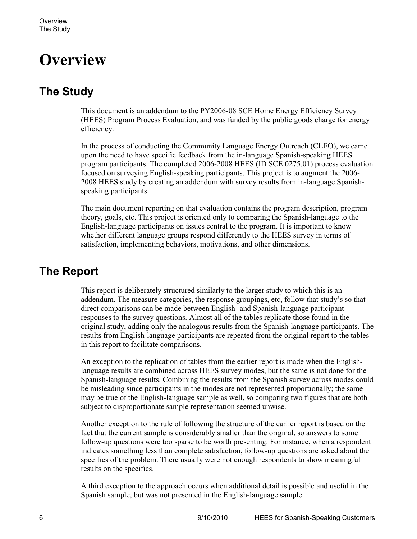## <span id="page-11-1"></span><span id="page-11-0"></span>**Overview**

## **The Study**

This document is an addendum to the PY2006-08 SCE Home Energy Efficiency Survey (HEES) Program Process Evaluation, and was funded by the public goods charge for energy efficiency.

In the process of conducting the Community Language Energy Outreach (CLEO), we came upon the need to have specific feedback from the in-language Spanish-speaking HEES program participants. The completed 2006-2008 HEES (ID SCE 0275.01) process evaluation focused on surveying English-speaking participants. This project is to augment the 2006- 2008 HEES study by creating an addendum with survey results from in-language Spanishspeaking participants.

The main document reporting on that evaluation contains the program description, program theory, goals, etc. This project is oriented only to comparing the Spanish-language to the English-language participants on issues central to the program. It is important to know whether different language groups respond differently to the HEES survey in terms of satisfaction, implementing behaviors, motivations, and other dimensions.

## **The Report**

This report is deliberately structured similarly to the larger study to which this is an addendum. The measure categories, the response groupings, etc, follow that study's so that direct comparisons can be made between English- and Spanish-language participant responses to the survey questions. Almost all of the tables replicate those found in the original study, adding only the analogous results from the Spanish-language participants. The results from English-language participants are repeated from the original report to the tables in this report to facilitate comparisons.

An exception to the replication of tables from the earlier report is made when the Englishlanguage results are combined across HEES survey modes, but the same is not done for the Spanish-language results. Combining the results from the Spanish survey across modes could be misleading since participants in the modes are not represented proportionally; the same may be true of the English-language sample as well, so comparing two figures that are both subject to disproportionate sample representation seemed unwise.

Another exception to the rule of following the structure of the earlier report is based on the fact that the current sample is considerably smaller than the original, so answers to some follow-up questions were too sparse to be worth presenting. For instance, when a respondent indicates something less than complete satisfaction, follow-up questions are asked about the specifics of the problem. There usually were not enough respondents to show meaningful results on the specifics.

A third exception to the approach occurs when additional detail is possible and useful in the Spanish sample, but was not presented in the English-language sample.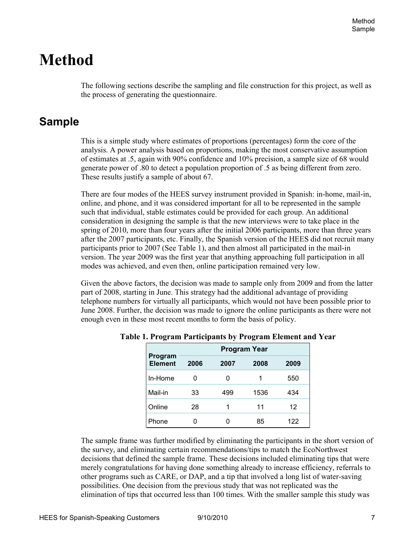## <span id="page-12-1"></span><span id="page-12-0"></span>**Method**

<span id="page-12-2"></span>The following sections describe the sampling and file construction for this project, as well as the process of generating the questionnaire.

### **Sample**

This is a simple study where estimates of proportions (percentages) form the core of the analysis. A power analysis based on proportions, making the most conservative assumption of estimates at .5, again with 90% confidence and 10% precision, a sample size of 68 would generate power of .80 to detect a population proportion of .5 as being different from zero. These results justify a sample of about 67.

There are four modes of the HEES survey instrument provided in Spanish: in-home, mail-in, online, and phone, and it was considered important for all to be represented in the sample such that individual, stable estimates could be provided for each group. An additional consideration in designing the sample is that the new interviews were to take place in the spring of 2010, more than four years after the initial 2006 participants, more than three years after the 2007 participants, etc. Finally, the Spanish version of the HEES did not recruit many participants prior to 2007(See [Table 1](#page-12-3)), and then almost all participated in the mail-in version. The year 2009 was the first year that anything approaching full participation in all modes was achieved, and even then, online participation remained very low.

Given the above factors, the decision was made to sample only from 2009 and from the latter part of 2008, starting in June. This strategy had the additional advantage of providing telephone numbers for virtually all participants, which would not have been possible prior to June 2008. Further, the decision was made to ignore the online participants as there were not enough even in these most recent months to form the basis of policy.

|                           |      | <b>Program Year</b> |      |      |  |  |
|---------------------------|------|---------------------|------|------|--|--|
| Program<br><b>Element</b> | 2006 | 2007                | 2008 | 2009 |  |  |
| In-Home                   | O    |                     |      | 550  |  |  |
| Mail-in                   | 33   | 499                 | 1536 | 434  |  |  |
| Online                    | 28   |                     | 11   | 12   |  |  |
| Phone                     |      |                     | 85   | 122  |  |  |

<span id="page-12-3"></span>

|  | Table 1. Program Participants by Program Element and Year |  |  |
|--|-----------------------------------------------------------|--|--|
|  |                                                           |  |  |

The sample frame was further modified by eliminating the participants in the short version of the survey, and eliminating certain recommendations/tips to match the EcoNorthwest decisions that defined the sample frame. These decisions included eliminating tips that were merely congratulations for having done something already to increase efficiency, referrals to other programs such as CARE, or DAP, and a tip that involved a long list of water-saving possibilities. One decision from the previous study that was not replicated was the elimination of tips that occurred less than 100 times. With the smaller sample this study was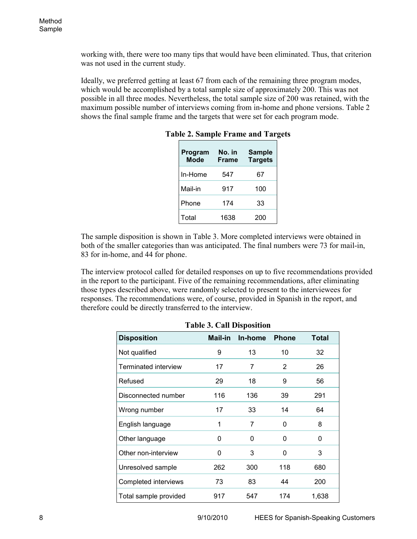working with, there were too many tips that would have been eliminated. Thus, that criterion was not used in the current study.

Ideally, we preferred getting at least 67 from each of the remaining three program modes, which would be accomplished by a total sample size of approximately 200. This was not possible in all three modes. Nevertheless, the total sample size of 200 was retained, with the maximum possible number of interviews coming from in-home and phone versions. [Table 2](#page-13-2) shows the final sample frame and the targets that were set for each program mode.

| Program<br><b>Mode</b> | No. in<br><b>Frame</b> | <b>Sample</b><br><b>Targets</b> |
|------------------------|------------------------|---------------------------------|
| In-Home                | 547                    | 67                              |
| Mail-in                | 917                    | 100                             |
| Phone                  | 174                    | 33                              |
| Total                  | 1638                   | 200                             |

<span id="page-13-2"></span><span id="page-13-1"></span><span id="page-13-0"></span>**Table 2. Sample Frame and Targets**

The sample disposition is shownin [Table 3](#page-13-3). More completed interviews were obtained in both of the smaller categories than was anticipated. The final numbers were 73 for mail-in, 83 for in-home, and 44 for phone.

The interview protocol called for detailed responses on up to five recommendations provided in the report to the participant. Five of the remaining recommendations, after eliminating those types described above, were randomly selected to present to the interviewees for responses. The recommendations were, of course, provided in Spanish in the report, and therefore could be directly transferred to the interview.

| L'avit J. Call Disposition |                |         |                |              |  |  |  |
|----------------------------|----------------|---------|----------------|--------------|--|--|--|
| <b>Disposition</b>         | <b>Mail-in</b> | In-home | <b>Phone</b>   | <b>Total</b> |  |  |  |
| Not qualified              | 9              | 13      | 10             | 32           |  |  |  |
| Terminated interview       | 17             | 7       | $\overline{2}$ | 26           |  |  |  |
| Refused                    | 29             | 18      | 9              | 56           |  |  |  |
| Disconnected number        | 116            | 136     | 39             | 291          |  |  |  |
| Wrong number               | 17             | 33      | 14             | 64           |  |  |  |
| English language           | 1              | 7       | 0              | 8            |  |  |  |
| Other language             | 0              | 0       | 0              | 0            |  |  |  |
| Other non-interview        | 0              | 3       | 0              | 3            |  |  |  |
| Unresolved sample          | 262            | 300     | 118            | 680          |  |  |  |
| Completed interviews       | 73             | 83      | 44             | 200          |  |  |  |
| Total sample provided      | 917            | 547     | 174            | 1,638        |  |  |  |

<span id="page-13-3"></span>

|  |  | <b>Table 3. Call Disposition</b> |
|--|--|----------------------------------|
|  |  |                                  |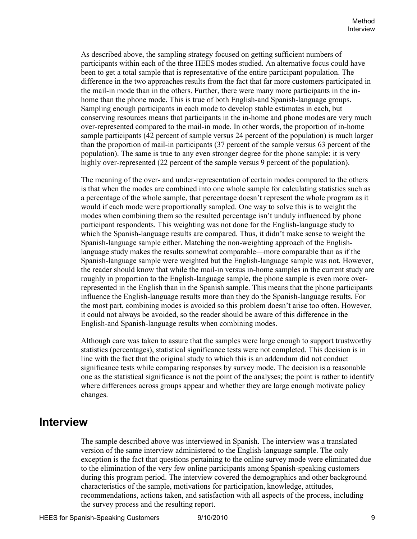<span id="page-14-0"></span>As described above, the sampling strategy focused on getting sufficient numbers of participants within each of the three HEES modes studied. An alternative focus could have been to get a total sample that is representative of the entire participant population. The difference in the two approaches results from the fact that far more customers participated in the mail-in mode than in the others. Further, there were many more participants in the inhome than the phone mode. This is true of both English-and Spanish-language groups. Sampling enough participants in each mode to develop stable estimates in each, but conserving resources means that participants in the in-home and phone modes are very much over-represented compared to the mail-in mode. In other words, the proportion of in-home sample participants (42 percent of sample versus 24 percent of the population) is much larger than the proportion of mail-in participants (37 percent of the sample versus 63 percent of the population). The same is true to any even stronger degree for the phone sample: it is very highly over-represented (22 percent of the sample versus 9 percent of the population).

The meaning of the over- and under-representation of certain modes compared to the others is that when the modes are combined into one whole sample for calculating statistics such as a percentage of the whole sample, that percentage doesn't represent the whole program as it would if each mode were proportionally sampled. One way to solve this is to weight the modes when combining them so the resulted percentage isn't unduly influenced by phone participant respondents. This weighting was not done for the English-language study to which the Spanish-language results are compared. Thus, it didn't make sense to weight the Spanish-language sample either. Matching the non-weighting approach of the Englishlanguage study makes the results somewhat comparable—more comparable than as if the Spanish-language sample were weighted but the English-language sample was not. However, the reader should know that while the mail-in versus in-home samples in the current study are roughly in proportion to the English-language sample, the phone sample is even more overrepresented in the English than in the Spanish sample. This means that the phone participants influence the English-language results more than they do the Spanish-language results. For the most part, combining modes is avoided so this problem doesn't arise too often. However, it could not always be avoided, so the reader should be aware of this difference in the English-and Spanish-language results when combining modes.

Although care was taken to assure that the samples were large enough to support trustworthy statistics (percentages), statistical significance tests were not completed. This decision is in line with the fact that the original study to which this is an addendum did not conduct significance tests while comparing responses by survey mode. The decision is a reasonable one as the statistical significance is not the point of the analyses; the point is rather to identify where differences across groups appear and whether they are large enough motivate policy changes.

### **Interview**

The sample described above was interviewed in Spanish. The interview was a translated version of the same interview administered to the English-language sample. The only exception is the fact that questions pertaining to the online survey mode were eliminated due to the elimination of the very few online participants among Spanish-speaking customers during this program period. The interview covered the demographics and other background characteristics of the sample, motivations for participation, knowledge, attitudes, recommendations, actions taken, and satisfaction with all aspects of the process, including the survey process and the resulting report.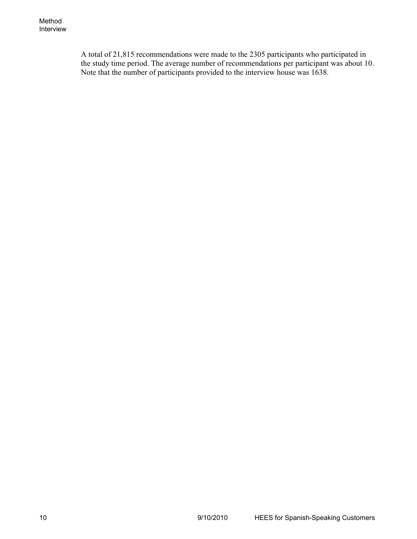A total of 21,815 recommendations were made to the 2305 participants who participated in the study time period. The average number of recommendations per participant was about 10. Note that the number of participants provided to the interview house was 1638.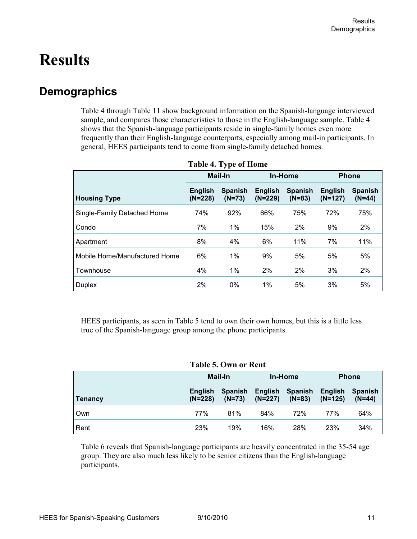## <span id="page-16-1"></span><span id="page-16-0"></span>**Results**

### **Demographics**

[Table 4](#page-16-4) through [Table 11](#page-19-2) show background information on the Spanish-language interviewed sample, and compares those characteristics to those in the English-language sample. [Table 4](#page-16-4) shows that the Spanish-language participants reside in single-family homes even more frequently than their English-language counterparts, especially among mail-in participants. In general, HEES participants tend to come from single-family detached homes.

|                               | $1400 \times 111000$        | <b>Mail-In</b><br>In-Home  |                             |                            |                             | <b>Phone</b>               |  |
|-------------------------------|-----------------------------|----------------------------|-----------------------------|----------------------------|-----------------------------|----------------------------|--|
| <b>Housing Type</b>           | <b>English</b><br>$(N=228)$ | <b>Spanish</b><br>$(N=73)$ | <b>English</b><br>$(N=229)$ | <b>Spanish</b><br>$(N=83)$ | <b>English</b><br>$(N=127)$ | <b>Spanish</b><br>$(N=44)$ |  |
| Single-Family Detached Home   | 74%                         | 92%                        | 66%                         | 75%                        | 72%                         | 75%                        |  |
| Condo                         | 7%                          | 1%                         | 15%                         | 2%                         | 9%                          | 2%                         |  |
| Apartment                     | 8%                          | 4%                         | 6%                          | 11%                        | 7%                          | 11%                        |  |
| Mobile Home/Manufactured Home | 6%                          | 1%                         | 9%                          | 5%                         | 5%                          | 5%                         |  |
| Townhouse                     | 4%                          | 1%                         | 2%                          | 2%                         | 3%                          | 2%                         |  |
| <b>Duplex</b>                 | 2%                          | 0%                         | 1%                          | 5%                         | 3%                          | 5%                         |  |

<span id="page-16-4"></span><span id="page-16-3"></span><span id="page-16-2"></span>

|  |  | <b>Table 4. Type of Home</b> |
|--|--|------------------------------|
|--|--|------------------------------|

<span id="page-16-5"></span>HEES participants, as seenin [Table 5](#page-16-5) tend to own their own homes, but this is a little less true of the Spanish-language group among the phone participants.

| Table 5. Own or Rent      |                             |                            |                      |                     |                      |                            |
|---------------------------|-----------------------------|----------------------------|----------------------|---------------------|----------------------|----------------------------|
| <b>Mail-In</b><br>In-Home |                             |                            |                      |                     | <b>Phone</b>         |                            |
| Tenancy                   | <b>English</b><br>$(N=228)$ | <b>Spanish</b><br>$(N=73)$ | English<br>$(N=227)$ | Spanish<br>$(N=83)$ | English<br>$(N=125)$ | <b>Spanish</b><br>$(N=44)$ |
| Own                       | 77%                         | 81%                        | 84%                  | 72%                 | 77%                  | 64%                        |
| Rent                      | 23%                         | 19%                        | 16%                  | 28%                 | 23%                  | 34%                        |

[Table 6](#page-17-2) reveals that Spanish-language participants are heavily concentrated in the 35-54 age group. They are also much less likely to be senior citizens than the English-language participants.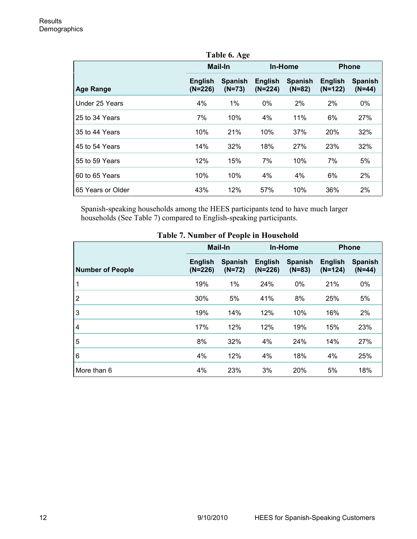<span id="page-17-2"></span><span id="page-17-1"></span><span id="page-17-0"></span>

| Table 6. Age      |                             |                            |                      |                            |                             |                            |  |  |  |  |
|-------------------|-----------------------------|----------------------------|----------------------|----------------------------|-----------------------------|----------------------------|--|--|--|--|
|                   |                             | <b>Mail-In</b>             |                      | In-Home                    |                             | <b>Phone</b>               |  |  |  |  |
| <b>Age Range</b>  | <b>English</b><br>$(N=226)$ | <b>Spanish</b><br>$(N=73)$ | English<br>$(N=224)$ | <b>Spanish</b><br>$(N=82)$ | <b>English</b><br>$(N=122)$ | <b>Spanish</b><br>$(N=44)$ |  |  |  |  |
| Under 25 Years    | 4%                          | 1%                         | 0%                   | 2%                         | 2%                          | $0\%$                      |  |  |  |  |
| 25 to 34 Years    | 7%                          | 10%                        | 4%                   | 11%                        | 6%                          | 27%                        |  |  |  |  |
| 35 to 44 Years    | 10%                         | 21%                        | 10%                  | 37%                        | 20%                         | 32%                        |  |  |  |  |
| 45 to 54 Years    | 14%                         | 32%                        | 18%                  | 27%                        | 23%                         | 32%                        |  |  |  |  |
| 55 to 59 Years    | 12%                         | 15%                        | 7%                   | 10%                        | 7%                          | 5%                         |  |  |  |  |
| 60 to 65 Years    | 10%                         | 10%                        | 4%                   | 4%                         | 6%                          | 2%                         |  |  |  |  |
| 65 Years or Older | 43%                         | 12%                        | 57%                  | 10%                        | 36%                         | 2%                         |  |  |  |  |

Spanish-speaking households among the HEES participants tend to have much larger households(See [Table 7\)](#page-17-3) compared to English-speaking participants.

|                         | <b>Mail-In</b>              |                            | In-Home                     |                            | <b>Phone</b>                |                            |
|-------------------------|-----------------------------|----------------------------|-----------------------------|----------------------------|-----------------------------|----------------------------|
| <b>Number of People</b> | <b>English</b><br>$(N=226)$ | <b>Spanish</b><br>$(N=72)$ | <b>English</b><br>$(N=226)$ | <b>Spanish</b><br>$(N=83)$ | <b>English</b><br>$(N=124)$ | <b>Spanish</b><br>$(N=44)$ |
| 1                       | 19%                         | 1%                         | 24%                         | 0%                         | 21%                         | $0\%$                      |
| $\overline{2}$          | 30%                         | 5%                         | 41%                         | 8%                         | 25%                         | 5%                         |
| 3                       | 19%                         | 14%                        | 12%                         | 10%                        | 16%                         | 2%                         |
| 4                       | 17%                         | 12%                        | 12%                         | 19%                        | 15%                         | 23%                        |
| 5                       | 8%                          | 32%                        | 4%                          | 24%                        | 14%                         | 27%                        |
| 6                       | 4%                          | 12%                        | 4%                          | 18%                        | 4%                          | 25%                        |
| More than 6             | 4%                          | 23%                        | 3%                          | 20%                        | 5%                          | 18%                        |

#### <span id="page-17-3"></span>**Table 7. Number of People in Household**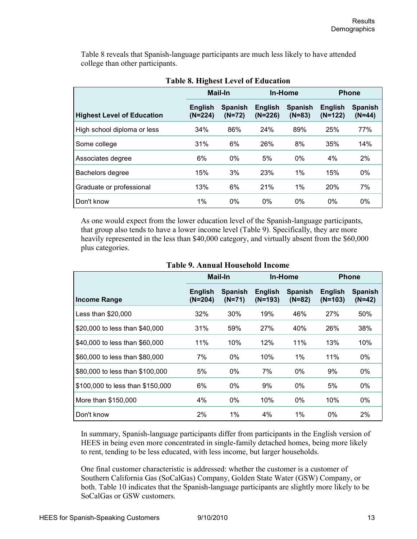[Table 8](#page-18-2) reveals that Spanish-language participants are much less likely to have attended college than other participants.

| Tuble of Highest Level of Ludenbir |                           |                            |                             |                            |                             |                            |  |  |  |  |
|------------------------------------|---------------------------|----------------------------|-----------------------------|----------------------------|-----------------------------|----------------------------|--|--|--|--|
|                                    |                           | <b>Mail-In</b>             |                             | In-Home                    |                             | <b>Phone</b>               |  |  |  |  |
| <b>Highest Level of Education</b>  | <b>English</b><br>(N=224) | <b>Spanish</b><br>$(N=72)$ | <b>English</b><br>$(N=226)$ | <b>Spanish</b><br>$(N=83)$ | <b>English</b><br>$(N=122)$ | <b>Spanish</b><br>$(N=44)$ |  |  |  |  |
| High school diploma or less        | 34%                       | 86%                        | 24%                         | 89%                        | 25%                         | 77%                        |  |  |  |  |
| Some college                       | 31%                       | 6%                         | 26%                         | 8%                         | 35%                         | 14%                        |  |  |  |  |
| Associates degree                  | 6%                        | $0\%$                      | 5%                          | $0\%$                      | 4%                          | 2%                         |  |  |  |  |
| Bachelors degree                   | 15%                       | 3%                         | 23%                         | $1\%$                      | 15%                         | $0\%$                      |  |  |  |  |
| Graduate or professional           | 13%                       | 6%                         | 21%                         | 1%                         | 20%                         | 7%                         |  |  |  |  |
| Don't know                         | $1\%$                     | $0\%$                      | $0\%$                       | 0%                         | $0\%$                       | 0%                         |  |  |  |  |

<span id="page-18-2"></span><span id="page-18-1"></span><span id="page-18-0"></span>**Table 8. Highest Level of Education**

As one would expect from the lower education level of the Spanish-language participants, that group also tends to have a lower incomelevel [\(Table 9](#page-18-3)). Specifically, they are more heavily represented in the less than \$40,000 category, and virtually absent from the \$60,000 plus categories.

|                                  | <b>Mail-In</b>              |                            | In-Home                     |                            | <b>Phone</b>                |                            |
|----------------------------------|-----------------------------|----------------------------|-----------------------------|----------------------------|-----------------------------|----------------------------|
| <b>Income Range</b>              | <b>English</b><br>$(N=204)$ | <b>Spanish</b><br>$(N=71)$ | <b>English</b><br>$(N=193)$ | <b>Spanish</b><br>$(N=82)$ | <b>English</b><br>$(N=103)$ | <b>Spanish</b><br>$(N=42)$ |
| Less than \$20,000               | 32%                         | 30%                        | 19%                         | 46%                        | 27%                         | 50%                        |
| \$20,000 to less than \$40,000   | 31%                         | 59%                        | 27%                         | 40%                        | 26%                         | 38%                        |
| \$40,000 to less than \$60,000   | 11%                         | 10%                        | 12%                         | 11%                        | 13%                         | 10%                        |
| \$60,000 to less than \$80,000   | 7%                          | 0%                         | 10%                         | 1%                         | 11%                         | $0\%$                      |
| \$80,000 to less than \$100,000  | 5%                          | $0\%$                      | 7%                          | 0%                         | 9%                          | 0%                         |
| \$100,000 to less than \$150,000 | 6%                          | $0\%$                      | 9%                          | $0\%$                      | 5%                          | $0\%$                      |
| More than \$150,000              | 4%                          | $0\%$                      | 10%                         | 0%                         | 10%                         | $0\%$                      |
| Don't know                       | $2\%$                       | $1\%$                      | 4%                          | $1\%$                      | $0\%$                       | 2%                         |

#### <span id="page-18-3"></span>**Table 9. Annual Household Income**

In summary, Spanish-language participants differ from participants in the English version of HEES in being even more concentrated in single-family detached homes, being more likely to rent, tending to be less educated, with less income, but larger households.

One final customer characteristic is addressed: whether the customer is a customer of Southern California Gas (SoCalGas) Company, Golden State Water (GSW) Company, or both. [Table 10](#page-19-1) indicates that the Spanish-language participants are slightly more likely to be SoCalGas or GSW customers.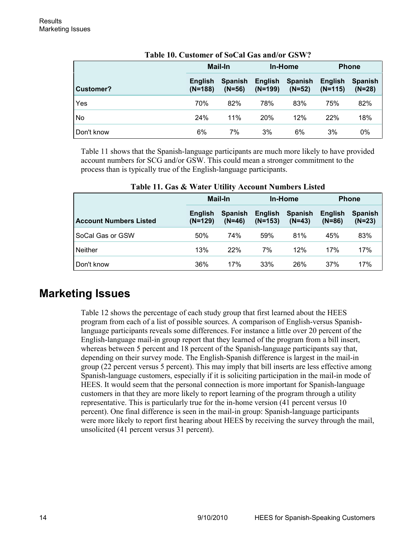<span id="page-19-0"></span>

|                  | <b>Mail-In</b>              |                            | In-Home              |                            | <b>Phone</b>                |                            |
|------------------|-----------------------------|----------------------------|----------------------|----------------------------|-----------------------------|----------------------------|
| <b>Customer?</b> | <b>English</b><br>$(N=188)$ | <b>Spanish</b><br>$(N=56)$ | English<br>$(N=199)$ | <b>Spanish</b><br>$(N=52)$ | <b>English</b><br>$(N=115)$ | <b>Spanish</b><br>$(N=28)$ |
| Yes              | 70%                         | 82%                        | 78%                  | 83%                        | 75%                         | 82%                        |
| No               | 24%                         | 11%                        | 20%                  | 12%                        | 22%                         | 18%                        |
| Don't know       | 6%                          | 7%                         | 3%                   | 6%                         | 3%                          | 0%                         |

<span id="page-19-2"></span><span id="page-19-1"></span>**Table 10. Customer of SoCal Gas and/or GSW?**

[Table 11](#page-19-3) shows that the Spanish-language participants are much more likely to have provided account numbers for SCG and/or GSW. This could mean a stronger commitment to the process than is typically true of the English-language participants.

|                               | <b>Mail-In</b>              |                            |                             | In-Home                    | <b>Phone</b>               |                            |
|-------------------------------|-----------------------------|----------------------------|-----------------------------|----------------------------|----------------------------|----------------------------|
| <b>Account Numbers Listed</b> | <b>English</b><br>$(N=129)$ | <b>Spanish</b><br>$(N=46)$ | <b>English</b><br>$(N=153)$ | <b>Spanish</b><br>$(N=43)$ | <b>English</b><br>$(N=86)$ | <b>Spanish</b><br>$(N=23)$ |
| SoCal Gas or GSW              | 50%                         | 74%                        | 59%                         | 81%                        | 45%                        | 83%                        |
| <b>Neither</b>                | 13%                         | 22%                        | 7%                          | 12%                        | 17%                        | 17%                        |
| Don't know                    | 36%                         | 17%                        | 33%                         | 26%                        | 37%                        | 17%                        |

<span id="page-19-3"></span>**Table 11. Gas & Water Utility Account Numbers Listed**

### **Marketing Issues**

[Table 12](#page-20-0) shows the percentage of each study group that first learned about the HEES program from each of a list of possible sources. A comparison of English-versus Spanishlanguage participants reveals some differences. For instance a little over 20 percent of the English-language mail-in group report that they learned of the program from a bill insert, whereas between 5 percent and 18 percent of the Spanish-language participants say that, depending on their survey mode. The English-Spanish difference is largest in the mail-in group (22 percent versus 5 percent). This may imply that bill inserts are less effective among Spanish-language customers, especially if it is soliciting participation in the mail-in mode of HEES. It would seem that the personal connection is more important for Spanish-language customers in that they are more likely to report learning of the program through a utility representative. This is particularly true for the in-home version (41 percent versus 10 percent). One final difference is seen in the mail-in group: Spanish-language participants were more likely to report first hearing about HEES by receiving the survey through the mail, unsolicited (41 percent versus 31 percent).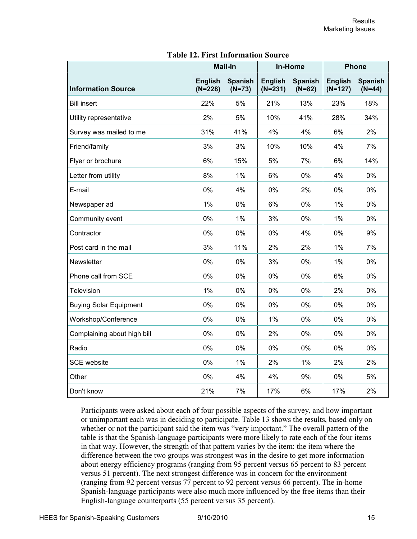|                               |                             | <b>Mail-In</b>             |                      | In-Home                    | <b>Phone</b>                |                            |
|-------------------------------|-----------------------------|----------------------------|----------------------|----------------------------|-----------------------------|----------------------------|
| <b>Information Source</b>     | <b>English</b><br>$(N=228)$ | <b>Spanish</b><br>$(N=73)$ | English<br>$(N=231)$ | <b>Spanish</b><br>$(N=82)$ | <b>English</b><br>$(N=127)$ | <b>Spanish</b><br>$(N=44)$ |
| <b>Bill insert</b>            | 22%                         | 5%                         | 21%                  | 13%                        | 23%                         | 18%                        |
| Utility representative        | 2%                          | 5%                         | 10%                  | 41%                        | 28%                         | 34%                        |
| Survey was mailed to me       | 31%                         | 41%                        | 4%                   | 4%                         | 6%                          | 2%                         |
| Friend/family                 | 3%                          | 3%                         | 10%                  | 10%                        | 4%                          | 7%                         |
| Flyer or brochure             | 6%                          | 15%                        | 5%                   | 7%                         | 6%                          | 14%                        |
| Letter from utility           | 8%                          | 1%                         | 6%                   | 0%                         | 4%                          | 0%                         |
| E-mail                        | 0%                          | 4%                         | 0%                   | 2%                         | $0\%$                       | $0\%$                      |
| Newspaper ad                  | 1%                          | 0%                         | 6%                   | 0%                         | 1%                          | 0%                         |
| Community event               | $0\%$                       | $1\%$                      | 3%                   | 0%                         | 1%                          | 0%                         |
| Contractor                    | 0%                          | 0%                         | 0%                   | 4%                         | 0%                          | 9%                         |
| Post card in the mail         | 3%                          | 11%                        | 2%                   | 2%                         | 1%                          | 7%                         |
| Newsletter                    | 0%                          | 0%                         | 3%                   | 0%                         | 1%                          | 0%                         |
| Phone call from SCE           | $0\%$                       | 0%                         | 0%                   | 0%                         | 6%                          | 0%                         |
| Television                    | 1%                          | 0%                         | $0\%$                | 0%                         | 2%                          | 0%                         |
| <b>Buying Solar Equipment</b> | $0\%$                       | $0\%$                      | 0%                   | 0%                         | 0%                          | $0\%$                      |
| Workshop/Conference           | 0%                          | $0\%$                      | 1%                   | 0%                         | 0%                          | 0%                         |
| Complaining about high bill   | 0%                          | 0%                         | 2%                   | 0%                         | 0%                          | 0%                         |
| Radio                         | $0\%$                       | 0%                         | $0\%$                | 0%                         | 0%                          | 0%                         |
| <b>SCE</b> website            | $0\%$                       | 1%                         | 2%                   | 1%                         | 2%                          | 2%                         |
| Other                         | 0%                          | 4%                         | 4%                   | 9%                         | 0%                          | 5%                         |
| Don't know                    | 21%                         | 7%                         | 17%                  | 6%                         | 17%                         | 2%                         |

<span id="page-20-0"></span>

Participants were asked about each of four possible aspects of the survey, and how important or unimportant each was in deciding to participate. [Table 13](#page-21-1) shows the results, based only on whether or not the participant said the item was "very important." The overall pattern of the table is that the Spanish-language participants were more likely to rate each of the four items in that way. However, the strength of that pattern varies by the item: the item where the difference between the two groups was strongest was in the desire to get more information about energy efficiency programs (ranging from 95 percent versus 65 percent to 83 percent versus 51 percent). The next strongest difference was in concern for the environment (ranging from 92 percent versus 77 percent to 92 percent versus 66 percent). The in-home Spanish-language participants were also much more influenced by the free items than their English-language counterparts (55 percent versus 35 percent).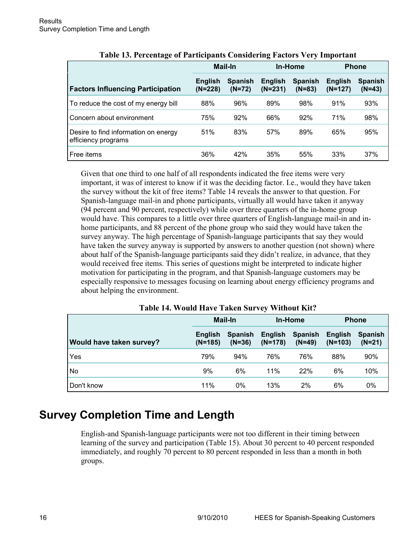<span id="page-21-0"></span>

| -                                                           |                    |                            | -                           |                            |                             |                            |
|-------------------------------------------------------------|--------------------|----------------------------|-----------------------------|----------------------------|-----------------------------|----------------------------|
|                                                             | <b>Mail-In</b>     |                            | In-Home                     |                            | <b>Phone</b>                |                            |
| <b>Factors Influencing Participation</b>                    | English<br>(N=228) | <b>Spanish</b><br>$(N=72)$ | <b>English</b><br>$(N=231)$ | <b>Spanish</b><br>$(N=83)$ | <b>English</b><br>$(N=127)$ | <b>Spanish</b><br>$(N=43)$ |
| To reduce the cost of my energy bill                        | 88%                | 96%                        | 89%                         | 98%                        | 91%                         | 93%                        |
| Concern about environment                                   | 75%                | 92%                        | 66%                         | 92%                        | 71%                         | 98%                        |
| Desire to find information on energy<br>efficiency programs | 51%                | 83%                        | 57%                         | 89%                        | 65%                         | 95%                        |
| Free items                                                  | 36%                | 42%                        | 35%                         | 55%                        | 33%                         | 37%                        |

<span id="page-21-2"></span><span id="page-21-1"></span>

| Table 13. Percentage of Participants Considering Factors Very Important |  |
|-------------------------------------------------------------------------|--|
|                                                                         |  |

Given that one third to one half of all respondents indicated the free items were very important, it was of interest to know if it was the deciding factor. I.e., would they have taken the survey without the kit of free items? [Table 14](#page-21-3) reveals the answer to that question. For Spanish-language mail-in and phone participants, virtually all would have taken it anyway (94 percent and 90 percent, respectively) while over three quarters of the in-home group would have. This compares to a little over three quarters of English-language mail-in and inhome participants, and 88 percent of the phone group who said they would have taken the survey anyway. The high percentage of Spanish-language participants that say they would have taken the survey anyway is supported by answers to another question (not shown) where about half of the Spanish-language participants said they didn't realize, in advance, that they would received free items. This series of questions might be interpreted to indicate higher motivation for participating in the program, and that Spanish-language customers may be especially responsive to messages focusing on learning about energy efficiency programs and about helping the environment.

| Table I is a quid that c failed but tet a thout into |                             |                            |                             |                            |                      |                            |  |  |  |
|------------------------------------------------------|-----------------------------|----------------------------|-----------------------------|----------------------------|----------------------|----------------------------|--|--|--|
|                                                      |                             | <b>Mail-In</b>             |                             | In-Home                    |                      | <b>Phone</b>               |  |  |  |
| <b>Would have taken survey?</b>                      | <b>English</b><br>$(N=185)$ | <b>Spanish</b><br>$(N=36)$ | <b>English</b><br>$(N=178)$ | <b>Spanish</b><br>$(N=49)$ | English<br>$(N=103)$ | <b>Spanish</b><br>$(N=21)$ |  |  |  |
| Yes                                                  | 79%                         | 94%                        | 76%                         | 76%                        | 88%                  | 90%                        |  |  |  |
| No                                                   | 9%                          | 6%                         | 11%                         | 22%                        | 6%                   | 10%                        |  |  |  |
| Don't know                                           | 11%                         | 0%                         | 13%                         | 2%                         | 6%                   | 0%                         |  |  |  |

<span id="page-21-3"></span>**Table 14. Would Have Taken Survey Without Kit?**

## **Survey Completion Time and Length**

English-and Spanish-language participants were not too different in their timing between learning of the survey and participation([Table 15](#page-22-1)). About 30 percent to 40 percent responded immediately, and roughly 70 percent to 80 percent responded in less than a month in both groups.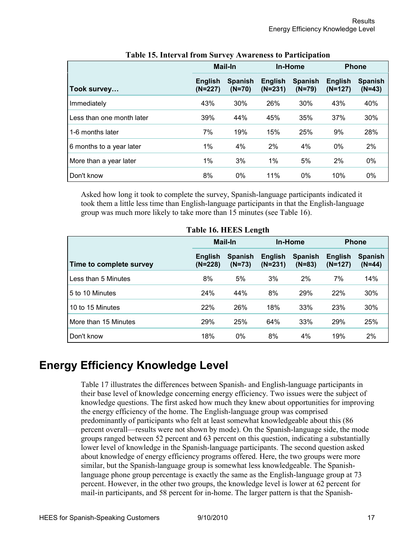<span id="page-22-0"></span>

|                           | <b>Mail-In</b>              |                            | In-Home                     |                            | <b>Phone</b>                |                            |
|---------------------------|-----------------------------|----------------------------|-----------------------------|----------------------------|-----------------------------|----------------------------|
| Took survey               | <b>English</b><br>$(N=227)$ | <b>Spanish</b><br>$(N=70)$ | <b>English</b><br>$(N=231)$ | <b>Spanish</b><br>$(N=79)$ | <b>English</b><br>$(N=127)$ | <b>Spanish</b><br>$(N=43)$ |
| Immediately               | 43%                         | 30%                        | 26%                         | 30%                        | 43%                         | 40%                        |
| Less than one month later | 39%                         | 44%                        | 45%                         | 35%                        | 37%                         | 30%                        |
| 1-6 months later          | 7%                          | 19%                        | 15%                         | 25%                        | 9%                          | 28%                        |
| 6 months to a year later  | 1%                          | 4%                         | 2%                          | 4%                         | 0%                          | 2%                         |
| More than a year later    | $1\%$                       | 3%                         | $1\%$                       | 5%                         | 2%                          | $0\%$                      |
| Don't know                | 8%                          | $0\%$                      | 11%                         | 0%                         | 10%                         | 0%                         |

<span id="page-22-2"></span><span id="page-22-1"></span>

Asked how long it took to complete the survey, Spanish-language participants indicated it took them a little less time than English-language participants in that the English-language group was much more likely to take more than 15 minutes(see [Table 16\)](#page-22-3).

|                         |                           | <b>Mail-In</b>             |                      | In-Home                    |                             | <b>Phone</b>               |  |
|-------------------------|---------------------------|----------------------------|----------------------|----------------------------|-----------------------------|----------------------------|--|
| Time to complete survey | <b>English</b><br>(N=228) | <b>Spanish</b><br>$(N=73)$ | English<br>$(N=231)$ | <b>Spanish</b><br>$(N=83)$ | <b>English</b><br>$(N=127)$ | <b>Spanish</b><br>$(N=44)$ |  |
| Less than 5 Minutes     | 8%                        | 5%                         | 3%                   | 2%                         | 7%                          | 14%                        |  |
| 5 to 10 Minutes         | 24%                       | 44%                        | 8%                   | 29%                        | 22%                         | 30%                        |  |
| 10 to 15 Minutes        | 22%                       | 26%                        | 18%                  | 33%                        | 23%                         | 30%                        |  |
| More than 15 Minutes    | 29%                       | 25%                        | 64%                  | 33%                        | 29%                         | 25%                        |  |
| Don't know              | 18%                       | 0%                         | 8%                   | 4%                         | 19%                         | 2%                         |  |

#### <span id="page-22-3"></span>**Table 16. HEES Length**

## **Energy Efficiency Knowledge Level**

[Table 17](#page-23-1) illustrates the differences between Spanish- and English-language participants in their base level of knowledge concerning energy efficiency. Two issues were the subject of knowledge questions. The first asked how much they knew about opportunities for improving the energy efficiency of the home. The English-language group was comprised predominantly of participants who felt at least somewhat knowledgeable about this (86 percent overall—results were not shown by mode). On the Spanish-language side, the mode groups ranged between 52 percent and 63 percent on this question, indicating a substantially lower level of knowledge in the Spanish-language participants. The second question asked about knowledge of energy efficiency programs offered. Here, the two groups were more similar, but the Spanish-language group is somewhat less knowledgeable. The Spanishlanguage phone group percentage is exactly the same as the English-language group at 73 percent. However, in the other two groups, the knowledge level is lower at 62 percent for mail-in participants, and 58 percent for in-home. The larger pattern is that the Spanish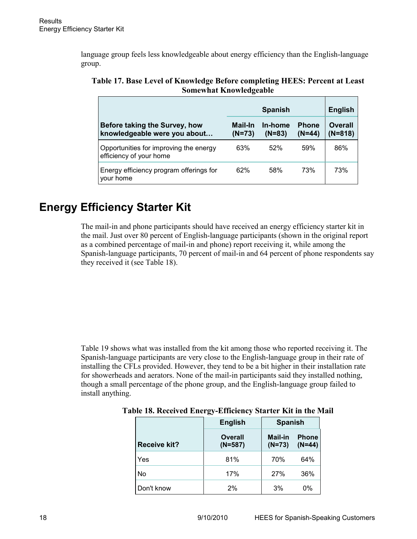<span id="page-23-1"></span><span id="page-23-0"></span>language group feels less knowledgeable about energy efficiency than the English-language group.

|                                                                   |                     | <b>Spanish</b>      |                          | <b>English</b>       |
|-------------------------------------------------------------------|---------------------|---------------------|--------------------------|----------------------|
| Before taking the Survey, how<br>knowledgeable were you about     | Mail-In<br>$(N=73)$ | In-home<br>$(N=83)$ | <b>Phone</b><br>$(N=44)$ | Overall<br>$(N=818)$ |
| Opportunities for improving the energy<br>efficiency of your home | 63%                 | 52%                 | 59%                      | 86%                  |
| Energy efficiency program offerings for<br>your home              | 62%                 | 58%                 | 73%                      | 73%                  |

#### <span id="page-23-2"></span>**Table 17. Base Level of Knowledge Before completing HEES: Percent at Least Somewhat Knowledgeable**

## **Energy Efficiency Starter Kit**

The mail-in and phone participants should have received an energy efficiency starter kit in the mail. Just over 80 percent of English-language participants (shown in the original report as a combined percentage of mail-in and phone) report receiving it, while among the Spanish-language participants, 70 percent of mail-in and 64 percent of phone respondents say they received it(see [Table 18](#page-23-3)).

<span id="page-23-3"></span>Table 19 shows what was installed from the kit among those who reported receiving it. The Spanish-language participants are very close to the English-language group in their rate of installing the CFLs provided. However, they tend to be a bit higher in their installation rate for showerheads and aerators. None of the mail-in participants said they installed nothing, though a small percentage of the phone group, and the English-language group failed to install anything.

|                     | <b>English</b>              | <b>Spanish</b>                                  |       |  |
|---------------------|-----------------------------|-------------------------------------------------|-------|--|
| <b>Receive kit?</b> | <b>Overall</b><br>$(N=587)$ | Mail-in<br><b>Phone</b><br>$(N=73)$<br>$(N=44)$ |       |  |
| Yes                 | 81%                         | 70%                                             | 64%   |  |
| No                  | 17%                         | 27%                                             | 36%   |  |
| Don't know          | 2%                          | 3%                                              | $0\%$ |  |

#### **Table 18. Received Energy-Efficiency Starter Kit in the Mail**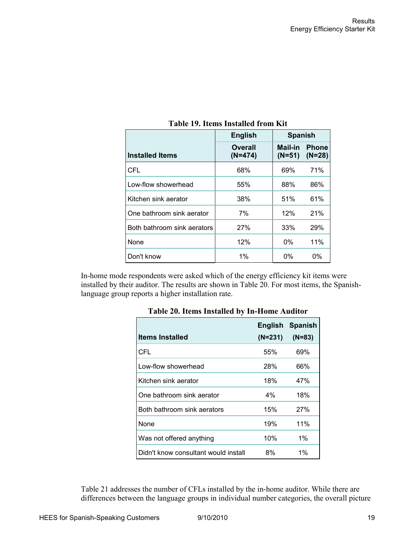|                             | <b>English</b>              | <b>Spanish</b>             |                          |
|-----------------------------|-----------------------------|----------------------------|--------------------------|
| <b>Installed Items</b>      | <b>Overall</b><br>$(N=474)$ | <b>Mail-in</b><br>$(N=51)$ | <b>Phone</b><br>$(N=28)$ |
| CFL                         | 68%                         | 69%                        | 71%                      |
| Low-flow showerhead         | 55%                         | 88%                        | 86%                      |
| Kitchen sink aerator        | 38%                         | 51%                        | 61%                      |
| One bathroom sink aerator   | 7%                          | 12%                        | 21%                      |
| Both bathroom sink aerators | 27%                         | 33%                        | 29%                      |
| None                        | 12%                         | $0\%$                      | 11%                      |
| Don't know                  | $1\%$                       | $0\%$                      | $0\%$                    |

<span id="page-24-1"></span><span id="page-24-0"></span>**Table 19. Items Installed from Kit**

In-home mode respondents were asked which of the energy efficiency kit items were installed by their auditor. The results are shown in Table 20. For most items, the Spanishlanguage group reports a higher installation rate.

| <b>Items Installed</b>               | <b>English</b><br>$(N=231)$ | <b>Spanish</b><br>$(N=83)$ |
|--------------------------------------|-----------------------------|----------------------------|
| <b>CFL</b>                           | 55%                         | 69%                        |
| Low-flow showerhead                  | 28%                         | 66%                        |
| Kitchen sink aerator                 | 18%                         | 47%                        |
| One bathroom sink aerator            | $4\%$                       | 18%                        |
| Both bathroom sink aerators          | 15%                         | 27%                        |
| None                                 | 19%                         | 11%                        |
| Was not offered anything             | 10%                         | $1\%$                      |
| Didn't know consultant would install | 8%                          | $1\%$                      |

#### <span id="page-24-2"></span>**Table 20. Items Installed by In-Home Auditor**

Table 21 addresses the number of CFLs installed by the in-home auditor. While there are differences between the language groups in individual number categories, the overall picture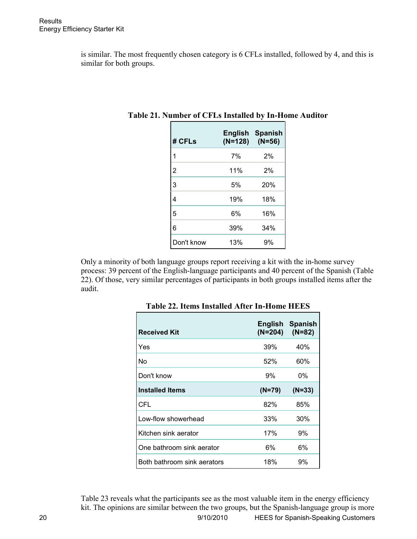<span id="page-25-0"></span>is similar. The most frequently chosen category is 6 CFLs installed, followed by 4, and this is similar for both groups.

| # CFLs     | English<br>$(N=128)$ | <b>Spanish</b><br>$(N=56)$ |
|------------|----------------------|----------------------------|
| 1          | 7%                   | 2%                         |
| 2          | 11%                  | 2%                         |
| 3          | 5%                   | 20%                        |
| 4          | 19%                  | 18%                        |
| 5          | 6%                   | 16%                        |
| 6          | 39%                  | 34%                        |
| Don't know | 13%                  | 9%                         |

<span id="page-25-1"></span>**Table 21. Number of CFLs Installed by In-Home Auditor**

Only a minority of both language groups report receiving a kit with the in-home survey process: 39 percent of the English-language participants and 40 percent of the Spanish (Table 22). Of those, very similar percentages of participants in both groups installed items after the audit.

| <b>Received Kit</b>         | $(N=204)$ | <b>English Spanish</b><br>$(N=82)$ |
|-----------------------------|-----------|------------------------------------|
| Yes                         | 39%       | 40%                                |
| No                          | 52%       | 60%                                |
| Don't know                  | 9%        | $0\%$                              |
| <b>Installed Items</b>      | $(N=79)$  | $(N=33)$                           |
| CFL                         | 82%       | 85%                                |
| Low-flow showerhead         | 33%       | 30%                                |
| Kitchen sink aerator        | 17%       | 9%                                 |
| One bathroom sink aerator   | 6%        | 6%                                 |
| Both bathroom sink aerators | 18%       | 9%                                 |

**Table 22. Items Installed After In-Home HEES**

20 9/10/2010 HEES for Spanish-Speaking Customers Table 23 reveals what the participants see as the most valuable item in the energy efficiency kit. The opinions are similar between the two groups, but the Spanish-language group is more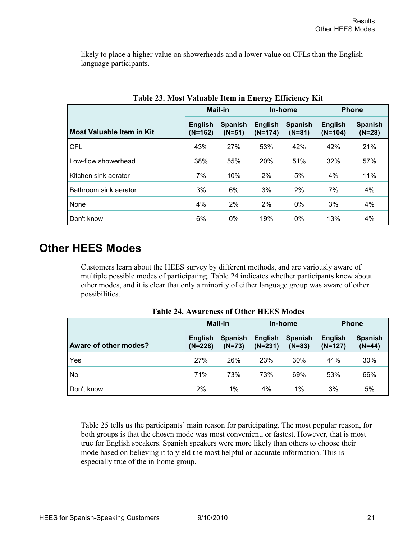<span id="page-26-0"></span>likely to place a higher value on showerheads and a lower value on CFLs than the Englishlanguage participants.

|                                  | $\sim$<br>$\mathbf{v}$      |                            |                             |                            |                             |                            |  |
|----------------------------------|-----------------------------|----------------------------|-----------------------------|----------------------------|-----------------------------|----------------------------|--|
|                                  |                             | <b>Mail-in</b>             |                             | In-home                    |                             | <b>Phone</b>               |  |
| <b>Most Valuable Item in Kit</b> | <b>English</b><br>$(N=162)$ | <b>Spanish</b><br>$(N=51)$ | <b>English</b><br>$(N=174)$ | <b>Spanish</b><br>$(N=81)$ | <b>English</b><br>$(N=104)$ | <b>Spanish</b><br>$(N=28)$ |  |
| <b>CFL</b>                       | 43%                         | 27%                        | 53%                         | 42%                        | 42%                         | 21%                        |  |
| Low-flow showerhead              | 38%                         | 55%                        | 20%                         | 51%                        | 32%                         | 57%                        |  |
| Kitchen sink aerator             | 7%                          | 10%                        | 2%                          | 5%                         | 4%                          | 11%                        |  |
| Bathroom sink aerator            | 3%                          | 6%                         | 3%                          | 2%                         | 7%                          | 4%                         |  |
| None                             | 4%                          | 2%                         | 2%                          | $0\%$                      | 3%                          | 4%                         |  |
| Don't know                       | 6%                          | $0\%$                      | 19%                         | 0%                         | 13%                         | 4%                         |  |

<span id="page-26-2"></span><span id="page-26-1"></span>

### **Other HEES Modes**

Customers learn about the HEES survey by different methods, and are variously aware of multiple possible modes of participating. Table 24 indicates whether participants knew about other modes, and it is clear that only a minority of either language group was aware of other possibilities.

|                       | <b>Mail-in</b>              |                            | In-home                     |                            | <b>Phone</b>                |                            |
|-----------------------|-----------------------------|----------------------------|-----------------------------|----------------------------|-----------------------------|----------------------------|
| Aware of other modes? | <b>English</b><br>$(N=228)$ | <b>Spanish</b><br>$(N=73)$ | <b>English</b><br>$(N=231)$ | <b>Spanish</b><br>$(N=83)$ | <b>English</b><br>$(N=127)$ | <b>Spanish</b><br>$(N=44)$ |
| Yes                   | 27%                         | 26%                        | 23%                         | 30%                        | 44%                         | 30%                        |
| No                    | 71%                         | 73%                        | 73%                         | 69%                        | 53%                         | 66%                        |
| Don't know            | 2%                          | $1\%$                      | 4%                          | $1\%$                      | 3%                          | 5%                         |

**Table 24. Awareness of Other HEES Modes**

Table 25 tells us the participants' main reason for participating. The most popular reason, for both groups is that the chosen mode was most convenient, or fastest. However, that is most true for English speakers. Spanish speakers were more likely than others to choose their mode based on believing it to yield the most helpful or accurate information. This is especially true of the in-home group.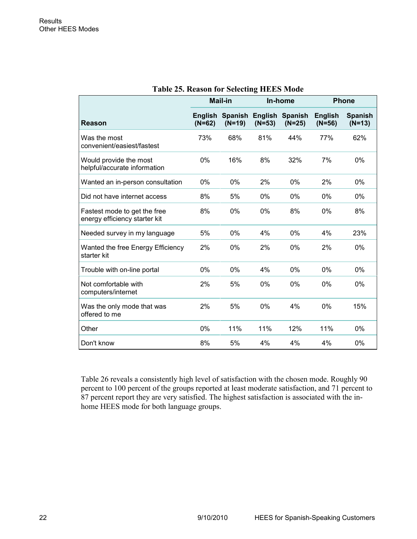|                                                               | <b>Mail-in</b>             |          | In-home  |                                     | <b>Phone</b>               |                            |  |
|---------------------------------------------------------------|----------------------------|----------|----------|-------------------------------------|----------------------------|----------------------------|--|
| <b>Reason</b>                                                 | <b>English</b><br>$(N=62)$ | $(N=19)$ | $(N=53)$ | Spanish English Spanish<br>$(N=25)$ | <b>English</b><br>$(N=56)$ | <b>Spanish</b><br>$(N=13)$ |  |
| Was the most<br>convenient/easiest/fastest                    | 73%                        | 68%      | 81%      | 44%                                 | 77%                        | 62%                        |  |
| Would provide the most<br>helpful/accurate information        | 0%                         | 16%      | 8%       | 32%                                 | 7%                         | 0%                         |  |
| Wanted an in-person consultation                              | 0%                         | $0\%$    | 2%       | 0%                                  | 2%                         | 0%                         |  |
| Did not have internet access                                  | 8%                         | 5%       | 0%       | 0%                                  | 0%                         | 0%                         |  |
| Fastest mode to get the free<br>energy efficiency starter kit | 8%                         | 0%       | 0%       | 8%                                  | 0%                         | 8%                         |  |
| Needed survey in my language                                  | 5%                         | 0%       | 4%       | $0\%$                               | 4%                         | 23%                        |  |
| Wanted the free Energy Efficiency<br>starter kit              | 2%                         | $0\%$    | 2%       | 0%                                  | 2%                         | 0%                         |  |
| Trouble with on-line portal                                   | 0%                         | 0%       | 4%       | 0%                                  | 0%                         | 0%                         |  |
| Not comfortable with<br>computers/internet                    | 2%                         | 5%       | 0%       | 0%                                  | 0%                         | 0%                         |  |
| Was the only mode that was<br>offered to me                   | 2%                         | 5%       | 0%       | 4%                                  | 0%                         | 15%                        |  |
| Other                                                         | 0%                         | 11%      | 11%      | 12%                                 | 11%                        | 0%                         |  |
| Don't know                                                    | 8%                         | 5%       | 4%       | 4%                                  | 4%                         | 0%                         |  |

<span id="page-27-0"></span>**Table 25. Reason for Selecting HEES Mode**

Table 26 reveals a consistently high level of satisfaction with the chosen mode. Roughly 90 percent to 100 percent of the groups reported at least moderate satisfaction, and 71 percent to 87 percent report they are very satisfied. The highest satisfaction is associated with the inhome HEES mode for both language groups.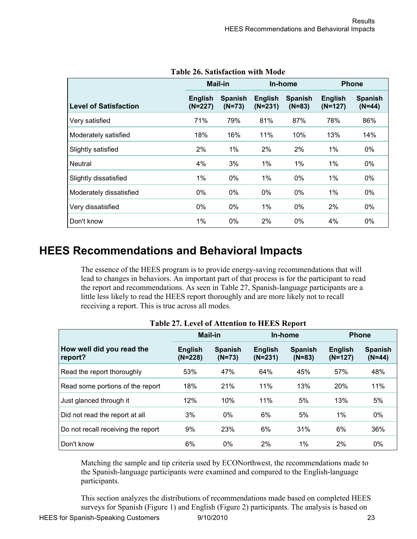<span id="page-28-0"></span>

| Table 20. Sausiaction with Mode |                           |                            |                      |                            |                             |                            |  |
|---------------------------------|---------------------------|----------------------------|----------------------|----------------------------|-----------------------------|----------------------------|--|
|                                 |                           | <b>Mail-in</b><br>In-home  |                      | <b>Phone</b>               |                             |                            |  |
| <b>Level of Satisfaction</b>    | <b>English</b><br>(N=227) | <b>Spanish</b><br>$(N=73)$ | English<br>$(N=231)$ | <b>Spanish</b><br>$(N=83)$ | <b>English</b><br>$(N=127)$ | <b>Spanish</b><br>$(N=44)$ |  |
| Very satisfied                  | 71%                       | 79%                        | 81%                  | 87%                        | 78%                         | 86%                        |  |
| Moderately satisfied            | 18%                       | 16%                        | 11%                  | 10%                        | 13%                         | 14%                        |  |
| Slightly satisfied              | 2%                        | 1%                         | 2%                   | 2%                         | $1\%$                       | 0%                         |  |
| Neutral                         | 4%                        | 3%                         | 1%                   | $1\%$                      | 1%                          | 0%                         |  |
| Slightly dissatisfied           | 1%                        | $0\%$                      | 1%                   | 0%                         | $1\%$                       | 0%                         |  |
| Moderately dissatisfied         | 0%                        | $0\%$                      | 0%                   | 0%                         | 1%                          | $0\%$                      |  |
| Very dissatisfied               | 0%                        | $0\%$                      | 1%                   | 0%                         | 2%                          | 0%                         |  |
| Don't know                      | $1\%$                     | $0\%$                      | 2%                   | 0%                         | 4%                          | $0\%$                      |  |

<span id="page-28-2"></span><span id="page-28-1"></span>**Table 26. Satisfaction with Mode**

## **HEES Recommendations and Behavioral Impacts**

[The essence of the HEES program is to provide energy-saving recommendations that will](#page-28-3) lead to changes in behaviors. An important part of that process is for the participant to read the report and recommendations. As seen in Table 27, Spanish-language participants are a little less likely to read the HEES report thoroughly and are more likely not to recall receiving a report. This is true across all modes.

|                                      | $1.4010 \pm 1.100101$ of True introll to The Eq. (1) $\mu$ |                            |                             |                            |                             |                            |
|--------------------------------------|------------------------------------------------------------|----------------------------|-----------------------------|----------------------------|-----------------------------|----------------------------|
|                                      | <b>Mail-in</b>                                             |                            |                             | In-home                    | <b>Phone</b>                |                            |
| How well did you read the<br>report? | <b>English</b><br>(N=228)                                  | <b>Spanish</b><br>$(N=73)$ | <b>English</b><br>$(N=231)$ | <b>Spanish</b><br>$(N=83)$ | <b>English</b><br>$(N=127)$ | <b>Spanish</b><br>$(N=44)$ |
| Read the report thoroughly           | 53%                                                        | 47%                        | 64%                         | 45%                        | 57%                         | 48%                        |
| Read some portions of the report     | 18%                                                        | 21%                        | 11%                         | 13%                        | 20%                         | 11%                        |
| Just glanced through it              | 12%                                                        | 10%                        | 11%                         | 5%                         | 13%                         | 5%                         |
| Did not read the report at all       | 3%                                                         | $0\%$                      | 6%                          | 5%                         | 1%                          | $0\%$                      |
| Do not recall receiving the report   | 9%                                                         | 23%                        | 6%                          | 31%                        | 6%                          | 36%                        |
| Don't know                           | 6%                                                         | $0\%$                      | 2%                          | $1\%$                      | 2%                          | $0\%$                      |

#### <span id="page-28-3"></span>**Table 27. Level of Attention to HEES Report**

Matching the sample and tip criteria used by ECONorthwest, the recommendations made to the Spanish-language participants were examined and compared to the English-language participants.

HEES for Spanish-Speaking Customers **9/10/2010** 23 This section analyzes the distributions of recommendations made based on completed HEES surveys for Spanish (Figure 1) and English (Figure 2) participants. The analysis is based on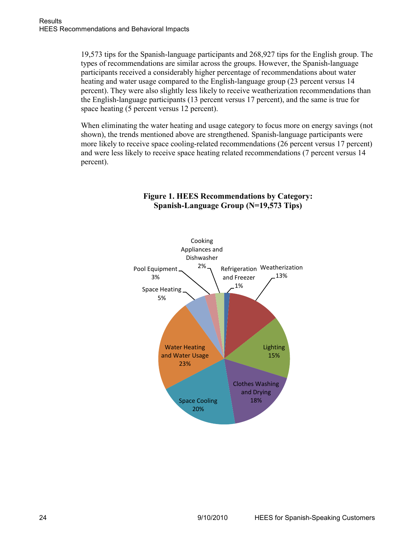<span id="page-29-0"></span>19,573 tips for the Spanish-language participants and 268,927 tips for the English group. The types of recommendations are similar across the groups. However, the Spanish-language participants received a considerably higher percentage of recommendations about water heating and water usage compared to the English-language group (23 percent versus 14 percent). They were also slightly less likely to receive weatherization recommendations than the English-language participants (13 percent versus 17 percent), and the same is true for space heating (5 percent versus 12 percent).

When eliminating the water heating and usage category to focus more on energy savings (not shown), the trends mentioned above are strengthened. Spanish-language participants were more likely to receive space cooling-related recommendations (26 percent versus 17 percent) and were less likely to receive space heating related recommendations (7 percent versus 14 percent).



#### **Figure 1. HEES Recommendations by Category: Spanish-Language Group (N=19,573 Tips)**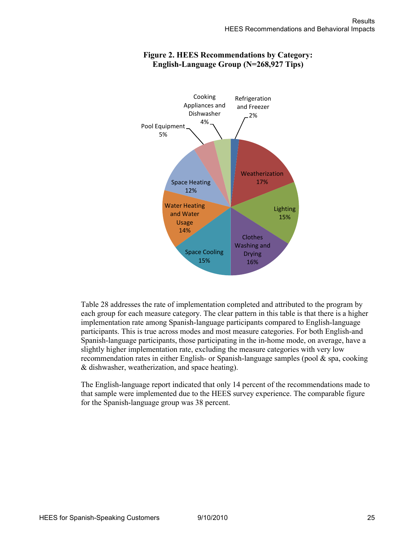

#### <span id="page-30-0"></span>**Figure 2. HEES Recommendations by Category: English-Language Group (N=268,927 Tips)**

[Table 28](#page-31-0) addresses the rate of implementation completed and attributed to the program by each group for each measure category. The clear pattern in this table is that there is a higher implementation rate among Spanish-language participants compared to English-language participants. This is true across modes and most measure categories. For both English-and Spanish-language participants, those participating in the in-home mode, on average, have a slightly higher implementation rate, excluding the measure categories with very low recommendation rates in either English- or Spanish-language samples (pool & spa, cooking & dishwasher, weatherization, and space heating).

The English-language report indicated that only 14 percent of the recommendations made to that sample were implemented due to the HEES survey experience. The comparable figure for the Spanish-language group was 38 percent.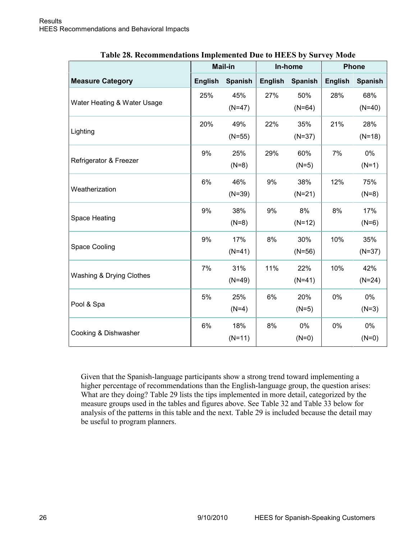|                             |         | <b>Mail-in</b><br>In-home |                | <b>Phone</b>     |                |                  |
|-----------------------------|---------|---------------------------|----------------|------------------|----------------|------------------|
| <b>Measure Category</b>     | English | <b>Spanish</b>            | <b>English</b> | <b>Spanish</b>   | <b>English</b> | <b>Spanish</b>   |
| Water Heating & Water Usage | 25%     | 45%<br>$(N=47)$           | 27%            | 50%<br>$(N=64)$  | 28%            | 68%<br>$(N=40)$  |
| Lighting                    | 20%     | 49%<br>$(N=55)$           | 22%            | 35%<br>$(N=37)$  | 21%            | 28%<br>$(N=18)$  |
| Refrigerator & Freezer      | 9%      | 25%<br>$(N=8)$            | 29%            | 60%<br>$(N=5)$   | 7%             | 0%<br>$(N=1)$    |
| Weatherization              | 6%      | 46%<br>$(N=39)$           | 9%             | 38%<br>$(N=21)$  | 12%            | 75%<br>$(N=8)$   |
| Space Heating               | 9%      | 38%<br>$(N=8)$            | 9%             | 8%<br>$(N=12)$   | 8%             | 17%<br>$(N=6)$   |
| Space Cooling               | 9%      | 17%<br>$(N=41)$           | 8%             | 30%<br>$(N=56)$  | 10%            | 35%<br>$(N=37)$  |
| Washing & Drying Clothes    | 7%      | 31%<br>$(N=49)$           | 11%            | 22%<br>$(N=41)$  | 10%            | 42%<br>$(N=24)$  |
| Pool & Spa                  | 5%      | 25%<br>$(N=4)$            | 6%             | 20%<br>$(N=5)$   | 0%             | 0%<br>$(N=3)$    |
| Cooking & Dishwasher        | 6%      | 18%<br>$(N=11)$           | 8%             | $0\%$<br>$(N=0)$ | 0%             | $0\%$<br>$(N=0)$ |

<span id="page-31-0"></span>

| Table 28. Recommendations Implemented Due to HEES by Survey Mode |  |  |
|------------------------------------------------------------------|--|--|
|------------------------------------------------------------------|--|--|

Given that the Spanish-language participants show a strong trend toward implementing a higher percentage of recommendations than the English-language group, the question arises: What are they doing? [Table 29](#page-32-0) lists the tips implemented in more detail, categorized by the measure groups used in the tables and figures above.See [Table 32](#page-37-0)and [Table 33](#page-37-1) below for analysis of the patterns in this table and thenext. [Table 29](#page-32-1) is included because the detail may be useful to program planners.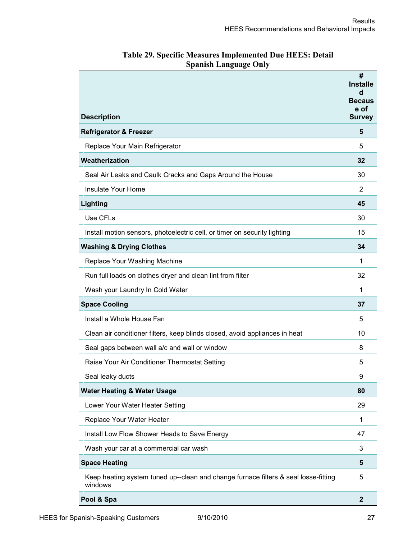| <b>Description</b>                                                                             | #<br><b>Installe</b><br>d<br><b>Becaus</b><br>e of<br><b>Survey</b> |
|------------------------------------------------------------------------------------------------|---------------------------------------------------------------------|
| <b>Refrigerator &amp; Freezer</b>                                                              | 5                                                                   |
| Replace Your Main Refrigerator                                                                 | 5                                                                   |
| Weatherization                                                                                 | 32                                                                  |
| Seal Air Leaks and Caulk Cracks and Gaps Around the House                                      | 30                                                                  |
| Insulate Your Home                                                                             | $\overline{2}$                                                      |
| Lighting                                                                                       | 45                                                                  |
| Use CFLs                                                                                       | 30                                                                  |
| Install motion sensors, photoelectric cell, or timer on security lighting                      | 15                                                                  |
| <b>Washing &amp; Drying Clothes</b>                                                            | 34                                                                  |
| Replace Your Washing Machine                                                                   | 1                                                                   |
| Run full loads on clothes dryer and clean lint from filter                                     | 32                                                                  |
| Wash your Laundry In Cold Water                                                                | 1                                                                   |
| <b>Space Cooling</b>                                                                           | 37                                                                  |
| Install a Whole House Fan                                                                      | 5                                                                   |
| Clean air conditioner filters, keep blinds closed, avoid appliances in heat                    | 10                                                                  |
| Seal gaps between wall a/c and wall or window                                                  | 8                                                                   |
| Raise Your Air Conditioner Thermostat Setting                                                  | 5                                                                   |
| Seal leaky ducts                                                                               | 9                                                                   |
| <b>Water Heating &amp; Water Usage</b>                                                         | 80                                                                  |
| Lower Your Water Heater Setting                                                                | 29                                                                  |
| Replace Your Water Heater                                                                      | 1                                                                   |
| Install Low Flow Shower Heads to Save Energy                                                   | 47                                                                  |
| Wash your car at a commercial car wash                                                         | 3                                                                   |
| <b>Space Heating</b>                                                                           | 5                                                                   |
| Keep heating system tuned up--clean and change furnace filters & seal losse-fitting<br>windows | 5                                                                   |
| Pool & Spa                                                                                     | $\mathbf{2}$                                                        |

#### <span id="page-32-1"></span><span id="page-32-0"></span>**Table 29. Specific Measures Implemented Due HEES: Detail Spanish Language Only**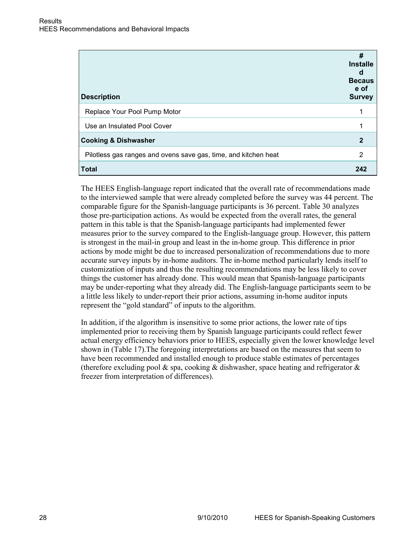| <b>Description</b>                                              | #<br><b>Installe</b><br>d<br><b>Becaus</b><br>e of<br><b>Survey</b> |
|-----------------------------------------------------------------|---------------------------------------------------------------------|
| Replace Your Pool Pump Motor                                    | 1                                                                   |
| Use an Insulated Pool Cover                                     | 1                                                                   |
| <b>Cooking &amp; Dishwasher</b>                                 | $\mathbf{2}$                                                        |
| Pilotless gas ranges and ovens save gas, time, and kitchen heat | 2                                                                   |
| <b>Total</b>                                                    | 242                                                                 |

The HEES English-language report indicated that the overall rate of recommendations made to the interviewed sample that were already completed before the survey was 44 percent. The comparable figure for the Spanish-language participants is 36 percent. [Table 30](#page-34-0) analyzes those pre-participation actions. As would be expected from the overall rates, the general pattern in this table is that the Spanish-language participants had implemented fewer measures prior to the survey compared to the English-language group. However, this pattern is strongest in the mail-in group and least in the in-home group. This difference in prior actions by mode might be due to increased personalization of recommendations due to more accurate survey inputs by in-home auditors. The in-home method particularly lends itself to customization of inputs and thus the resulting recommendations may be less likely to cover things the customer has already done. This would mean that Spanish-language participants may be under-reporting what they already did. The English-language participants seem to be a little less likely to under-report their prior actions, assuming in-home auditor inputs represent the "gold standard" of inputs to the algorithm.

In addition, if the algorithm is insensitive to some prior actions, the lower rate of tips implemented prior to receiving them by Spanish language participants could reflect fewer actual energy efficiency behaviors prior to HEES, especially given the lower knowledge level shownin [\(Table 17](#page-23-1)).The foregoing interpretations are based on the measures that seem to have been recommended and installed enough to produce stable estimates of percentages (therefore excluding pool  $\&$  spa, cooking  $\&$  dishwasher, space heating and refrigerator  $\&$ freezer from interpretation of differences).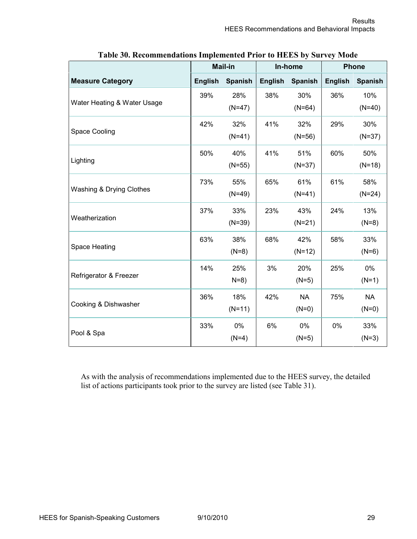|                             | <b>Mail-in</b> |                  | In-home        |                      | <b>Phone</b>   |                      |
|-----------------------------|----------------|------------------|----------------|----------------------|----------------|----------------------|
| <b>Measure Category</b>     | <b>English</b> | Spanish          | <b>English</b> | <b>Spanish</b>       | <b>English</b> | <b>Spanish</b>       |
| Water Heating & Water Usage | 39%            | 28%<br>$(N=47)$  | 38%            | 30%<br>$(N=64)$      | 36%            | 10%<br>$(N=40)$      |
| Space Cooling               | 42%            | 32%<br>$(N=41)$  | 41%            | 32%<br>$(N=56)$      | 29%            | 30%<br>$(N=37)$      |
| Lighting                    | 50%            | 40%<br>$(N=55)$  | 41%            | 51%<br>$(N=37)$      | 60%            | 50%<br>$(N=18)$      |
| Washing & Drying Clothes    | 73%            | 55%<br>$(N=49)$  | 65%            | 61%<br>$(N=41)$      | 61%            | 58%<br>$(N=24)$      |
| Weatherization              | 37%            | 33%<br>$(N=39)$  | 23%            | 43%<br>$(N=21)$      | 24%            | 13%<br>$(N=8)$       |
| <b>Space Heating</b>        | 63%            | 38%<br>$(N=8)$   | 68%            | 42%<br>$(N=12)$      | 58%            | 33%<br>$(N=6)$       |
| Refrigerator & Freezer      | 14%            | 25%<br>$N = 8$ ) | 3%             | 20%<br>$(N=5)$       | 25%            | 0%<br>$(N=1)$        |
| Cooking & Dishwasher        | 36%            | 18%<br>$(N=11)$  | 42%            | <b>NA</b><br>$(N=0)$ | 75%            | <b>NA</b><br>$(N=0)$ |
| Pool & Spa                  | 33%            | 0%<br>$(N=4)$    | 6%             | $0\%$<br>$(N=5)$     | $0\%$          | 33%<br>$(N=3)$       |

<span id="page-34-0"></span>**Table 30. Recommendations Implemented Prior to HEES by Survey Mode**

As with the analysis of recommendations implemented due to the HEES survey, the detailed list of actions participants took prior to the survey are listed(see [Table 31](#page-35-0)).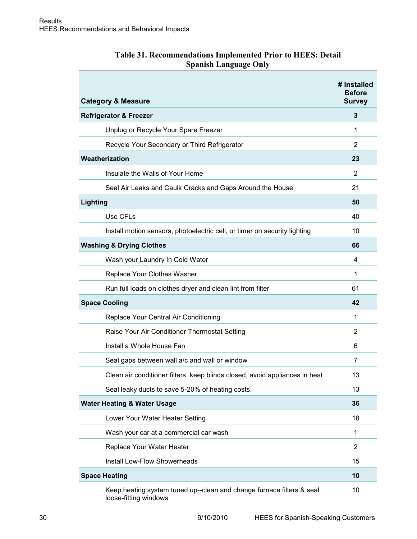| <b>Category &amp; Measure</b>                                                                  | # Installed<br><b>Before</b><br><b>Survey</b> |
|------------------------------------------------------------------------------------------------|-----------------------------------------------|
| <b>Refrigerator &amp; Freezer</b>                                                              | 3                                             |
| Unplug or Recycle Your Spare Freezer                                                           | 1                                             |
| Recycle Your Secondary or Third Refrigerator                                                   | 2                                             |
| Weatherization                                                                                 | 23                                            |
| Insulate the Walls of Your Home                                                                | $\overline{2}$                                |
| Seal Air Leaks and Caulk Cracks and Gaps Around the House                                      | 21                                            |
| Lighting                                                                                       | 50                                            |
| Use CFLs                                                                                       | 40                                            |
| Install motion sensors, photoelectric cell, or timer on security lighting                      | 10                                            |
| <b>Washing &amp; Drying Clothes</b>                                                            | 66                                            |
| Wash your Laundry In Cold Water                                                                | 4                                             |
| Replace Your Clothes Washer                                                                    | 1                                             |
| Run full loads on clothes dryer and clean lint from filter                                     | 61                                            |
| <b>Space Cooling</b>                                                                           | 42                                            |
| Replace Your Central Air Conditioning                                                          | 1                                             |
| Raise Your Air Conditioner Thermostat Setting                                                  | 2                                             |
| Install a Whole House Fan                                                                      | 6                                             |
| Seal gaps between wall a/c and wall or window                                                  | 7                                             |
| Clean air conditioner filters, keep blinds closed, avoid appliances in heat                    | 13                                            |
| Seal leaky ducts to save 5-20% of heating costs.                                               | 13                                            |
| <b>Water Heating &amp; Water Usage</b>                                                         | 36                                            |
| Lower Your Water Heater Setting                                                                | 18                                            |
| Wash your car at a commercial car wash                                                         | $\mathbf{1}$                                  |
| Replace Your Water Heater                                                                      | $\overline{2}$                                |
| Install Low-Flow Showerheads                                                                   | 15                                            |
| <b>Space Heating</b>                                                                           | 10                                            |
| Keep heating system tuned up--clean and change furnace filters & seal<br>loose-fitting windows | 10                                            |

#### <span id="page-35-0"></span>**Table 31. Recommendations Implemented Prior to HEES: Detail Spanish Language Only**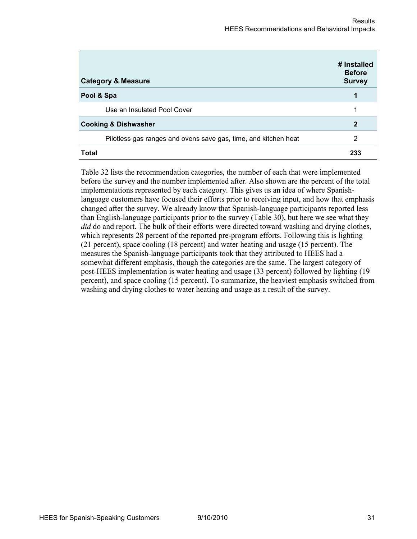| <b>Category &amp; Measure</b>                                   | # Installed<br><b>Before</b><br><b>Survey</b> |
|-----------------------------------------------------------------|-----------------------------------------------|
| Pool & Spa                                                      |                                               |
| Use an Insulated Pool Cover                                     | 1                                             |
| <b>Cooking &amp; Dishwasher</b>                                 | $\mathbf 2$                                   |
| Pilotless gas ranges and ovens save gas, time, and kitchen heat | 2                                             |
| <b>Total</b>                                                    | 233                                           |

[Table 32](#page-37-0) lists the recommendation categories, the number of each that were implemented before the survey and the number implemented after. Also shown are the percent of the total implementations represented by each category. This gives us an idea of where Spanishlanguage customers have focused their efforts prior to receiving input, and how that emphasis changed after the survey. We already know that Spanish-language participants reported less than English-language participants prior to the survey [\(Table 30](#page-34-0)), but here we see what they *did* do and report. The bulk of their efforts were directed toward washing and drying clothes, which represents 28 percent of the reported pre-program efforts. Following this is lighting (21 percent), space cooling (18 percent) and water heating and usage (15 percent). The measures the Spanish-language participants took that they attributed to HEES had a somewhat different emphasis, though the categories are the same. The largest category of post-HEES implementation is water heating and usage (33 percent) followed by lighting (19 percent), and space cooling (15 percent). To summarize, the heaviest emphasis switched from washing and drying clothes to water heating and usage as a result of the survey.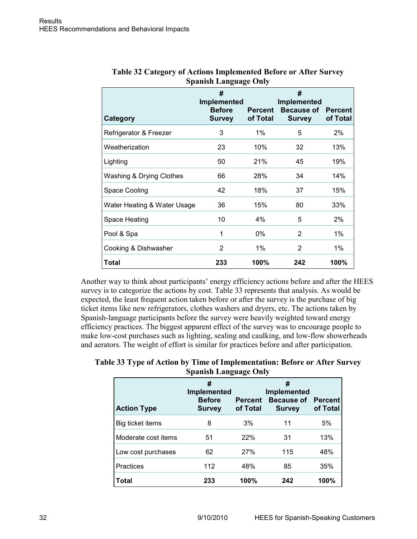| Category                    | #<br><b>Implemented</b><br><b>Before</b><br><b>Survey</b> | Percent<br>of Total | #<br>Implemented<br><b>Because of</b><br><b>Survey</b> | <b>Percent</b><br>of Total |
|-----------------------------|-----------------------------------------------------------|---------------------|--------------------------------------------------------|----------------------------|
| Refrigerator & Freezer      | 3                                                         | $1\%$               | 5                                                      | 2%                         |
| Weatherization              | 23                                                        | 10%                 | 32                                                     | 13%                        |
| Lighting                    | 50                                                        | 21%                 | 45                                                     | 19%                        |
| Washing & Drying Clothes    | 66                                                        | 28%                 | 34                                                     | 14%                        |
| Space Cooling               | 42                                                        | 18%                 | 37                                                     | 15%                        |
| Water Heating & Water Usage | 36                                                        | 15%                 | 80                                                     | 33%                        |
| Space Heating               | 10                                                        | 4%                  | 5                                                      | 2%                         |
| Pool & Spa                  | 1                                                         | 0%                  | 2                                                      | $1\%$                      |
| Cooking & Dishwasher        | $\overline{2}$                                            | $1\%$               | 2                                                      | $1\%$                      |
| Total                       | 233                                                       | 100%                | 242                                                    | 100%                       |

<span id="page-37-1"></span><span id="page-37-0"></span>

| Table 32 Category of Actions Implemented Before or After Survey |                              |  |  |
|-----------------------------------------------------------------|------------------------------|--|--|
|                                                                 | <b>Spanish Language Only</b> |  |  |

Another way to think about participants' energy efficiency actions before and after the HEES survey is to categorize the actions bycost. [Table 33](#page-37-2) represents that analysis. As would be expected, the least frequent action taken before or after the survey is the purchase of big ticket items like new refrigerators, clothes washers and dryers, etc. The actions taken by Spanish-language participants before the survey were heavily weighted toward energy efficiency practices. The biggest apparent effect of the survey was to encourage people to make low-cost purchases such as lighting, sealing and caulking, and low-flow showerheads and aerators. The weight of effort is similar for practices before and after participation.

#### <span id="page-37-2"></span>**Table 33 Type of Action by Time of Implementation: Before or After Survey Spanish Language Only**

| <b>Action Type</b>  | #<br><b>Implemented</b><br><b>Before</b><br><b>Survey</b> | <b>Percent</b><br>of Total | #<br>Implemented<br><b>Because of</b><br><b>Survey</b> | <b>Percent</b><br>of Total |
|---------------------|-----------------------------------------------------------|----------------------------|--------------------------------------------------------|----------------------------|
| Big ticket items    | 8                                                         | 3%                         | 11                                                     | 5%                         |
| Moderate cost items | 51                                                        | 22%                        | 31                                                     | 13%                        |
| Low cost purchases  | 62                                                        | 27%                        | 115                                                    | 48%                        |
| <b>Practices</b>    | 112                                                       | 48%                        | 85                                                     | 35%                        |
| Total               | 233                                                       | 100%                       | 242                                                    | 100%                       |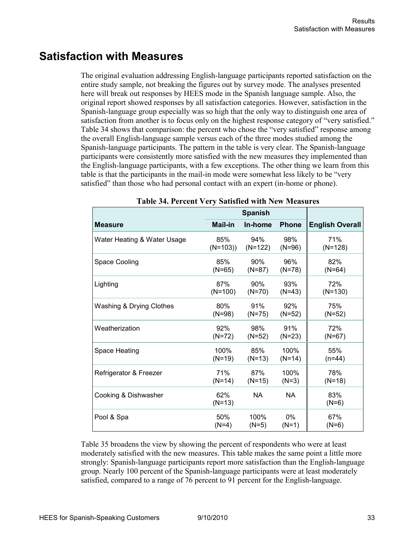## <span id="page-38-0"></span>**Satisfaction with Measures**

<span id="page-38-1"></span>The original evaluation addressing English-language participants reported satisfaction on the entire study sample, not breaking the figures out by survey mode. The analyses presented here will break out responses by HEES mode in the Spanish language sample. Also, the original report showed responses by all satisfaction categories. However, satisfaction in the Spanish-language group especially was so high that the only way to distinguish one area of satisfaction from another is to focus only on the highest response category of "very satisfied." [Table 34](#page-38-2) shows that comparison: the percent who chose the "very satisfied" response among the overall English-language sample versus each of the three modes studied among the Spanish-language participants. The pattern in the table is very clear. The Spanish-language participants were consistently more satisfied with the new measures they implemented than the English-language participants, with a few exceptions. The other thing we learn from this table is that the participants in the mail-in mode were somewhat less likely to be "very satisfied" than those who had personal contact with an expert (in-home or phone).

| <b>Measure</b>              | <b>Mail-in</b>  | In-home   | <b>Phone</b> | <b>English Overall</b> |
|-----------------------------|-----------------|-----------|--------------|------------------------|
| Water Heating & Water Usage | 85%             | 94%       | 98%          | 71%                    |
|                             | $(N=103)$       | $(N=122)$ | $(N=96)$     | $(N=128)$              |
| Space Cooling               | 85%             | 90%       | 96%          | 82%                    |
|                             | $(N=65)$        | $(N=87)$  | $(N=78)$     | $(N=64)$               |
| Lighting                    | 87%             | 90%       | 93%          | 72%                    |
|                             | $(N=100)$       | $(N=70)$  | $(N=43)$     | $(N=130)$              |
| Washing & Drying Clothes    | 80%             | 91%       | 92%          | 75%                    |
|                             | $(N=98)$        | $(N=75)$  | $(N=52)$     | $(N=52)$               |
| Weatherization              | 92%             | 98%       | 91%          | 72%                    |
|                             | $(N=72)$        | $(N=52)$  | $(N=23)$     | $(N=67)$               |
| Space Heating               | 100%            | 85%       | 100%         | 55%                    |
|                             | $(N=19)$        | $(N=13)$  | $(N=14)$     | $(n=44)$               |
| Refrigerator & Freezer      | 71%             | 87%       | 100%         | 78%                    |
|                             | $(N=14)$        | $(N=15)$  | $(N=3)$      | $(N=18)$               |
| Cooking & Dishwasher        | 62%<br>$(N=13)$ | <b>NA</b> | <b>NA</b>    | 83%<br>$(N=6)$         |
| Pool & Spa                  | 50%             | 100%      | $0\%$        | 67%                    |
|                             | $(N=4)$         | $(N=5)$   | $(N=1)$      | $(N=6)$                |

<span id="page-38-2"></span>

|  |  |  |  |  |  | <b>Table 34. Percent Very Satisfied with New Measures</b> |
|--|--|--|--|--|--|-----------------------------------------------------------|
|--|--|--|--|--|--|-----------------------------------------------------------|

[Table 35](#page-39-1) broadens the view by showing the percent of respondents who were at least moderately satisfied with the new measures. This table makes the same point a little more strongly: Spanish-language participants report more satisfaction than the English-language group. Nearly 100 percent of the Spanish-language participants were at least moderately satisfied, compared to a range of 76 percent to 91 percent for the English-language.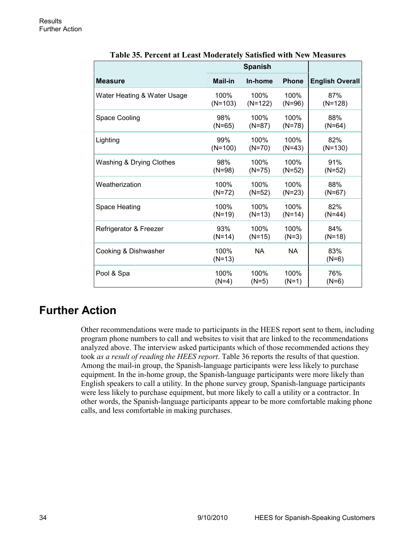<span id="page-39-0"></span>

| <b>Measure</b>              | <b>Mail-in</b>   | In-home   | <b>Phone</b> | <b>English Overall</b> |
|-----------------------------|------------------|-----------|--------------|------------------------|
| Water Heating & Water Usage | 100%             | 100%      | 100%         | 87%                    |
|                             | $(N=103)$        | $(N=122)$ | $(N=96)$     | $(N=128)$              |
| Space Cooling               | 98%              | 100%      | 100%         | 88%                    |
|                             | $(N=65)$         | $(N=87)$  | $(N=78)$     | $(N=64)$               |
| Lighting                    | 99%              | 100%      | 100%         | 82%                    |
|                             | $(N=100)$        | $(N=70)$  | $(N=43)$     | $(N=130)$              |
| Washing & Drying Clothes    | 98%              | 100%      | 100%         | 91%                    |
|                             | $(N=98)$         | $(N=75)$  | $(N=52)$     | $(N=52)$               |
| Weatherization              | 100%             | 100%      | 100%         | 88%                    |
|                             | $(N=72)$         | $(N=52)$  | $(N=23)$     | $(N=67)$               |
| Space Heating               | 100%             | 100%      | 100%         | 82%                    |
|                             | $(N=19)$         | $(N=13)$  | $(N=14)$     | $(N=44)$               |
| Refrigerator & Freezer      | 93%              | 100%      | 100%         | 84%                    |
|                             | $(N=14)$         | $(N=15)$  | $(N=3)$      | $(N=18)$               |
| Cooking & Dishwasher        | 100%<br>$(N=13)$ | <b>NA</b> | <b>NA</b>    | 83%<br>$(N=6)$         |
| Pool & Spa                  | 100%             | 100%      | 100%         | 76%                    |
|                             | $(N=4)$          | $(N=5)$   | $(N=1)$      | $(N=6)$                |

<span id="page-39-1"></span>

| Table 35. Percent at Least Moderately Satisfied with New Measures |  |
|-------------------------------------------------------------------|--|
|-------------------------------------------------------------------|--|

## **Further Action**

Other recommendations were made to participants in the HEES report sent to them, including program phone numbers to call and websites to visit that are linked to the recommendations analyzed above. The interview asked participants which of those recommended actions they took *as a result of reading the HEES report*. [Table 36](#page-40-0) reports the results of that question. Among the mail-in group, the Spanish-language participants were less likely to purchase equipment. In the in-home group, the Spanish-language participants were more likely than English speakers to call a utility. In the phone survey group, Spanish-language participants were less likely to purchase equipment, but more likely to call a utility or a contractor. In other words, the Spanish-language participants appear to be more comfortable making phone calls, and less comfortable in making purchases.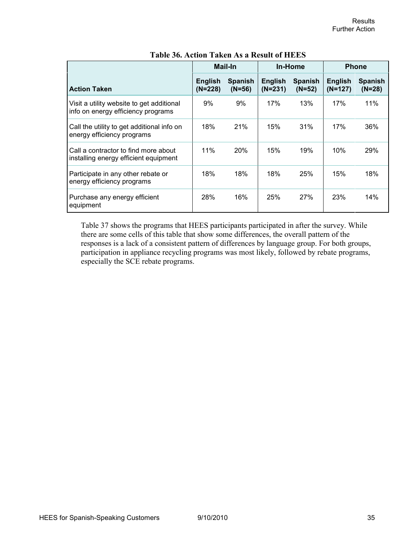|                                                                                 | <b>Mail-In</b>              |                            | In-Home                     |                            | <b>Phone</b>                |                            |
|---------------------------------------------------------------------------------|-----------------------------|----------------------------|-----------------------------|----------------------------|-----------------------------|----------------------------|
| <b>Action Taken</b>                                                             | <b>English</b><br>$(N=228)$ | <b>Spanish</b><br>$(N=56)$ | <b>English</b><br>$(N=231)$ | <b>Spanish</b><br>$(N=52)$ | <b>English</b><br>$(N=127)$ | <b>Spanish</b><br>$(N=28)$ |
| Visit a utility website to get additional<br>info on energy efficiency programs | 9%                          | 9%                         | 17%                         | 13%                        | 17%                         | 11%                        |
| Call the utility to get additional info on<br>energy efficiency programs        | 18%                         | 21%                        | 15%                         | 31%                        | 17%                         | 36%                        |
| Call a contractor to find more about<br>installing energy efficient equipment   | 11%                         | <b>20%</b>                 | 15%                         | 19%                        | 10%                         | 29%                        |
| Participate in any other rebate or<br>energy efficiency programs                | 18%                         | 18%                        | 18%                         | 25%                        | 15%                         | 18%                        |
| Purchase any energy efficient<br>equipment                                      | 28%                         | 16%                        | 25%                         | 27%                        | 23%                         | 14%                        |

<span id="page-40-0"></span>**Table 36. Action Taken As a Result of HEES**

[Table 37](#page-41-1) shows the programs that HEES participants participated in after the survey. While there are some cells of this table that show some differences, the overall pattern of the responses is a lack of a consistent pattern of differences by language group. For both groups, participation in appliance recycling programs was most likely, followed by rebate programs, especially the SCE rebate programs.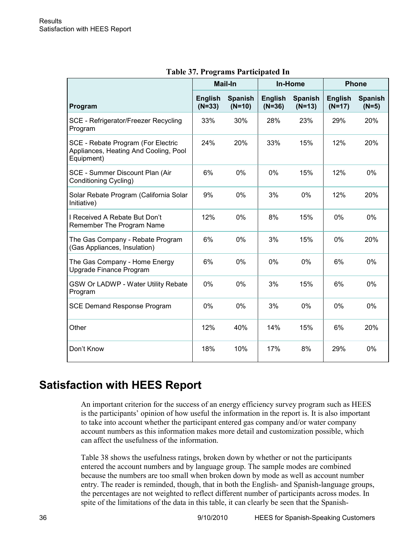<span id="page-41-0"></span>

|                                                                                           |                            | <b>Mail-In</b>             |                            | In-Home                    | <b>Phone</b>               |                           |
|-------------------------------------------------------------------------------------------|----------------------------|----------------------------|----------------------------|----------------------------|----------------------------|---------------------------|
| Program                                                                                   | <b>English</b><br>$(N=33)$ | <b>Spanish</b><br>$(N=10)$ | <b>English</b><br>$(N=36)$ | <b>Spanish</b><br>$(N=13)$ | <b>English</b><br>$(N=17)$ | <b>Spanish</b><br>$(N=5)$ |
| SCE - Refrigerator/Freezer Recycling<br>Program                                           | 33%                        | 30%                        | 28%                        | 23%                        | 29%                        | 20%                       |
| SCE - Rebate Program (For Electric<br>Appliances, Heating And Cooling, Pool<br>Equipment) | 24%                        | 20%                        | 33%                        | 15%                        | 12%                        | 20%                       |
| SCE - Summer Discount Plan (Air<br>Conditioning Cycling)                                  | 6%                         | 0%                         | $0\%$                      | 15%                        | 12%                        | 0%                        |
| Solar Rebate Program (California Solar<br>Initiative)                                     | 9%                         | 0%                         | 3%                         | $0\%$                      | 12%                        | 20%                       |
| I Received A Rebate But Don't<br>Remember The Program Name                                | 12%                        | 0%                         | 8%                         | 15%                        | 0%                         | 0%                        |
| The Gas Company - Rebate Program<br>(Gas Appliances, Insulation)                          | 6%                         | 0%                         | 3%                         | 15%                        | 0%                         | 20%                       |
| The Gas Company - Home Energy<br>Upgrade Finance Program                                  | 6%                         | 0%                         | $0\%$                      | $0\%$                      | 6%                         | $0\%$                     |
| GSW Or LADWP - Water Utility Rebate<br>Program                                            | 0%                         | 0%                         | 3%                         | 15%                        | 6%                         | 0%                        |
| <b>SCE Demand Response Program</b>                                                        | 0%                         | 0%                         | 3%                         | 0%                         | 0%                         | 0%                        |
| Other                                                                                     | 12%                        | 40%                        | 14%                        | 15%                        | 6%                         | 20%                       |
| Don't Know                                                                                | 18%                        | 10%                        | 17%                        | 8%                         | 29%                        | 0%                        |

<span id="page-41-1"></span>**Table 37. Programs Participated In**

## **Satisfaction with HEES Report**

An important criterion for the success of an energy efficiency survey program such as HEES is the participants' opinion of how useful the information in the report is. It is also important to take into account whether the participant entered gas company and/or water company account numbers as this information makes more detail and customization possible, which can affect the usefulness of the information.

[Table 38](#page-42-0) shows the usefulness ratings, broken down by whether or not the participants entered the account numbers and by language group. The sample modes are combined because the numbers are too small when broken down by mode as well as account number entry. The reader is reminded, though, that in both the English- and Spanish-language groups, the percentages are not weighted to reflect different number of participants across modes. In spite of the limitations of the data in this table, it can clearly be seen that the Spanish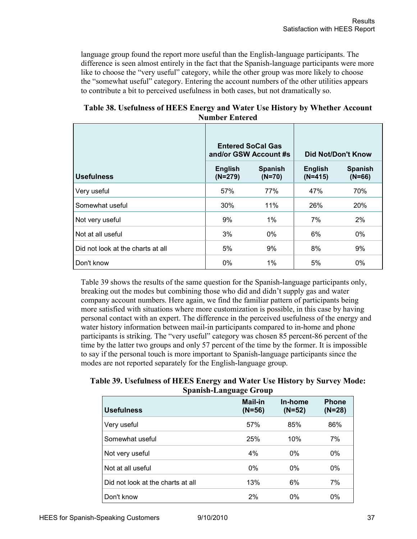<span id="page-42-1"></span><span id="page-42-0"></span>language group found the report more useful than the English-language participants. The difference is seen almost entirely in the fact that the Spanish-language participants were more like to choose the "very useful" category, while the other group was more likely to choose the "somewhat useful" category. Entering the account numbers of the other utilities appears to contribute a bit to perceived usefulness in both cases, but not dramatically so.

|                                   |                             | <b>Entered SoCal Gas</b><br>and/or GSW Account #s |                             | Did Not/Don't Know         |
|-----------------------------------|-----------------------------|---------------------------------------------------|-----------------------------|----------------------------|
| <b>Usefulness</b>                 | <b>English</b><br>$(N=279)$ | <b>Spanish</b><br>$(N=70)$                        | <b>English</b><br>$(N=415)$ | <b>Spanish</b><br>$(N=66)$ |
| Very useful                       | 57%                         | 77%                                               | 47%                         | 70%                        |
| Somewhat useful                   | 30%                         | 11%                                               | 26%                         | 20%                        |
| Not very useful                   | 9%                          | 1%                                                | 7%                          | 2%                         |
| Not at all useful                 | 3%                          | $0\%$                                             | 6%                          | $0\%$                      |
| Did not look at the charts at all | 5%                          | 9%                                                | 8%                          | 9%                         |
| Don't know                        | $0\%$                       | 1%                                                | 5%                          | $0\%$                      |

**Table 38. Usefulness of HEES Energy and Water Use History by Whether Account Number Entered**

[Table 39](#page-42-2) shows the results of the same question for the Spanish-language participants only, breaking out the modes but combining those who did and didn't supply gas and water company account numbers. Here again, we find the familiar pattern of participants being more satisfied with situations where more customization is possible, in this case by having personal contact with an expert. The difference in the perceived usefulness of the energy and water history information between mail-in participants compared to in-home and phone participants is striking. The "very useful" category was chosen 85 percent-86 percent of the time by the latter two groups and only 57 percent of the time by the former. It is impossible to say if the personal touch is more important to Spanish-language participants since the modes are not reported separately for the English-language group.

<span id="page-42-2"></span>

| Table 39. Usefulness of HEES Energy and Water Use History by Survey Mode: |  |
|---------------------------------------------------------------------------|--|
| <b>Spanish-Language Group</b>                                             |  |

| <b>Usefulness</b>                 | <b>Mail-in</b><br>$(N=56)$ | In-home<br>$(N=52)$ | <b>Phone</b><br>$(N=28)$ |
|-----------------------------------|----------------------------|---------------------|--------------------------|
| Very useful                       | 57%                        | 85%                 | 86%                      |
| Somewhat useful                   | 25%                        | 10%                 | 7%                       |
| Not very useful                   | 4%                         | $0\%$               | $0\%$                    |
| Not at all useful                 | 0%                         | $0\%$               | $0\%$                    |
| Did not look at the charts at all | 13%                        | 6%                  | 7%                       |
| Don't know                        | 2%                         | $0\%$               | $0\%$                    |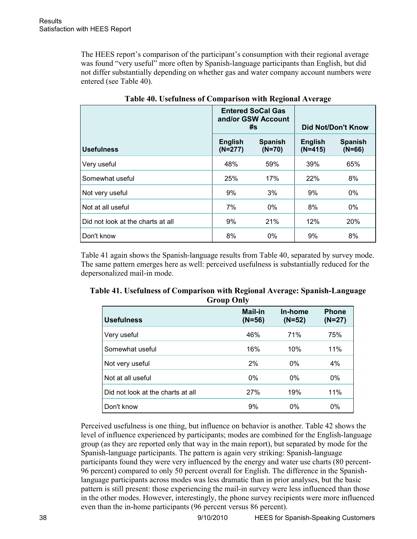<span id="page-43-1"></span><span id="page-43-0"></span>The HEES report's comparison of the participant's consumption with their regional average was found "very useful" more often by Spanish-language participants than English, but did not differ substantially depending on whether gas and water company account numbers were entered(see [Table 40](#page-43-2)).

|                                   | <b>Entered SoCal Gas</b><br>and/or GSW Account<br>#s |                            |                             | <b>Did Not/Don't Know</b>  |
|-----------------------------------|------------------------------------------------------|----------------------------|-----------------------------|----------------------------|
| <b>Usefulness</b>                 | <b>English</b><br>$(N=277)$                          | <b>Spanish</b><br>$(N=70)$ | <b>English</b><br>$(N=415)$ | <b>Spanish</b><br>$(N=66)$ |
| Very useful                       | 48%                                                  | 59%                        | 39%                         | 65%                        |
| Somewhat useful                   | 25%                                                  | 17%                        | 22%                         | 8%                         |
| Not very useful                   | 9%                                                   | 3%                         | 9%                          | 0%                         |
| Not at all useful                 | 7%                                                   | $0\%$                      | 8%                          | $0\%$                      |
| Did not look at the charts at all | 9%                                                   | 21%                        | 12%                         | 20%                        |
| Don't know                        | 8%                                                   | $0\%$                      | 9%                          | 8%                         |

<span id="page-43-2"></span>**Table 40. Usefulness of Comparison with Regional Average**

[Table 41](#page-43-3) again shows the Spanish-language resultsfrom [Table 40,](#page-43-2) separated by survey mode. The same pattern emerges here as well: perceived usefulness is substantially reduced for the depersonalized mail-in mode.

|                                   | <b>Group Omy</b>    |                     |                          |
|-----------------------------------|---------------------|---------------------|--------------------------|
| <b>Usefulness</b>                 | Mail-in<br>$(N=56)$ | In-home<br>$(N=52)$ | <b>Phone</b><br>$(N=27)$ |
| Very useful                       | 46%                 | 71%                 | 75%                      |
| Somewhat useful                   | 16%                 | 10%                 | 11%                      |
| Not very useful                   | 2%                  | $0\%$               | 4%                       |
| Not at all useful                 | $0\%$               | $0\%$               | $0\%$                    |
| Did not look at the charts at all | 27%                 | 19%                 | 11%                      |
| Don't know                        | 9%                  | $0\%$               | $0\%$                    |

<span id="page-43-3"></span>

| Table 41. Usefulness of Comparison with Regional Average: Spanish-Language |
|----------------------------------------------------------------------------|
| <b>Group Only</b>                                                          |

Perceived usefulness is one thing, but influence on behavior is another. [Table 42](#page-44-1) shows the level of influence experienced by participants; modes are combined for the English-language group (as they are reported only that way in the main report), but separated by mode for the Spanish-language participants. The pattern is again very striking: Spanish-language participants found they were very influenced by the energy and water use charts (80 percent-96 percent) compared to only 50 percent overall for English. The difference in the Spanishlanguage participants across modes was less dramatic than in prior analyses, but the basic pattern is still present: those experiencing the mail-in survey were less influenced than those in the other modes. However, interestingly, the phone survey recipients were more influenced even than the in-home participants (96 percent versus 86 percent).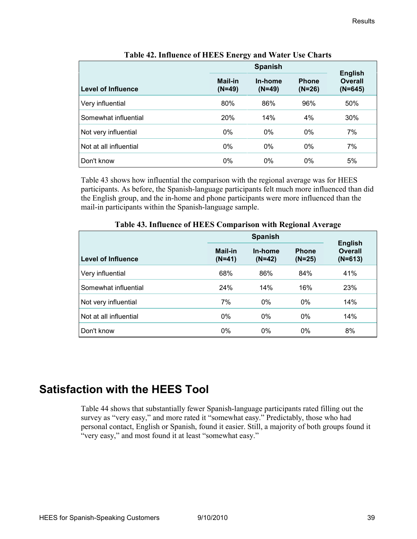<span id="page-44-0"></span>

|                           |                            | <b>English</b>      |                          |                             |
|---------------------------|----------------------------|---------------------|--------------------------|-----------------------------|
| <b>Level of Influence</b> | <b>Mail-in</b><br>$(N=49)$ | In-home<br>$(N=49)$ | <b>Phone</b><br>$(N=26)$ | <b>Overall</b><br>$(N=645)$ |
| Very influential          | 80%                        | 86%                 | 96%                      | 50%                         |
| Somewhat influential      | 20%                        | 14%                 | 4%                       | 30%                         |
| Not very influential      | $0\%$                      | 0%                  | $0\%$                    | 7%                          |
| Not at all influential    | $0\%$                      | $0\%$               | $0\%$                    | 7%                          |
| Don't know                | $0\%$                      | $0\%$               | 0%                       | 5%                          |

<span id="page-44-2"></span><span id="page-44-1"></span>**Table 42. Influence of HEES Energy and Water Use Charts**

[Table 43](#page-44-3) shows how influential the comparison with the regional average was for HEES participants. As before, the Spanish-language participants felt much more influenced than did the English group, and the in-home and phone participants were more influenced than the mail-in participants within the Spanish-language sample.

| <b>Level of Influence</b> | <b>Mail-in</b><br>$(N=41)$ | In-home<br>(N=42) | <b>Phone</b><br>(N=25) | <b>English</b><br><b>Overall</b><br>$(N=613)$ |
|---------------------------|----------------------------|-------------------|------------------------|-----------------------------------------------|
| Very influential          | 68%                        | 86%               | 84%                    | 41%                                           |
| Somewhat influential      | 24%                        | 14%               | 16%                    | 23%                                           |
| Not very influential      | 7%                         | $0\%$             | $0\%$                  | 14%                                           |
| Not at all influential    | 0%                         | 0%                | 0%                     | 14%                                           |
| Don't know                | 0%                         | 0%                | 0%                     | 8%                                            |

<span id="page-44-3"></span>**Table 43. Influence of HEES Comparison with Regional Average**

## **Satisfaction with the HEES Tool**

[Table 44](#page-45-1) shows that substantially fewer Spanish-language participants rated filling out the survey as "very easy," and more rated it "somewhat easy." Predictably, those who had personal contact, English or Spanish, found it easier. Still, a majority of both groups found it "very easy," and most found it at least "somewhat easy."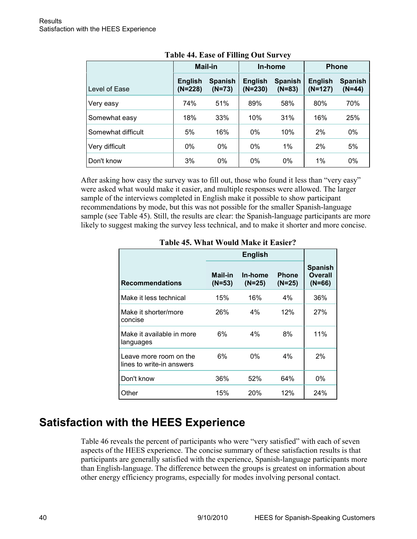<span id="page-45-0"></span>

|                    |                           | <b>Mail-in</b>             | In-home                     |                            | <b>Phone</b>                |                            |  |
|--------------------|---------------------------|----------------------------|-----------------------------|----------------------------|-----------------------------|----------------------------|--|
| Level of Ease      | <b>English</b><br>(N=228) | <b>Spanish</b><br>$(N=73)$ | <b>English</b><br>$(N=230)$ | <b>Spanish</b><br>$(N=83)$ | <b>English</b><br>$(N=127)$ | <b>Spanish</b><br>$(N=44)$ |  |
| Very easy          | 74%                       | 51%                        | 89%                         | 58%                        | 80%                         | 70%                        |  |
| Somewhat easy      | 18%                       | 33%                        | 10%                         | 31%                        | 16%                         | 25%                        |  |
| Somewhat difficult | 5%                        | 16%                        | $0\%$                       | 10%                        | 2%                          | 0%                         |  |
| Very difficult     | 0%                        | $0\%$                      | $0\%$                       | 1%                         | 2%                          | 5%                         |  |
| Don't know         | 3%                        | 0%                         | $0\%$                       | $0\%$                      | 1%                          | 0%                         |  |

<span id="page-45-2"></span><span id="page-45-1"></span>**Table 44. Ease of Filling Out Survey**

After asking how easy the survey was to fill out, those who found it less than "very easy" were asked what would make it easier, and multiple responses were allowed. The larger sample of the interviews completed in English make it possible to show participant recommendations by mode, but this was not possible for the smaller Spanish-language sample(see [Table 45](#page-45-3)). Still, the results are clear: the Spanish-language participants are more likely to suggest making the survey less technical, and to make it shorter and more concise.

|                                                     |                     | <b>English</b>      |                          |                                              |
|-----------------------------------------------------|---------------------|---------------------|--------------------------|----------------------------------------------|
| <b>Recommendations</b>                              | Mail-in<br>$(N=53)$ | In-home<br>$(N=25)$ | <b>Phone</b><br>$(N=25)$ | <b>Spanish</b><br><b>Overall</b><br>$(N=66)$ |
| Make it less technical                              | 15%                 | 16%                 | $4\%$                    | 36%                                          |
| Make it shorter/more<br>concise                     | 26%                 | $4\%$               | 12%                      | 27%                                          |
| Make it available in more<br>languages              | 6%                  | 4%                  | 8%                       | 11%                                          |
| Leave more room on the<br>lines to write-in answers | 6%                  | $0\%$               | 4%                       | 2%                                           |
| Don't know                                          | 36%                 | 52%                 | 64%                      | $0\%$                                        |
| Other                                               | 15%                 | 20%                 | 12%                      | 24%                                          |

<span id="page-45-3"></span>**Table 45. What Would Make it Easier?**

## **Satisfaction with the HEES Experience**

[Table 46](#page-46-0) reveals the percent of participants who were "very satisfied" with each of seven aspects of the HEES experience. The concise summary of these satisfaction results is that participants are generally satisfied with the experience, Spanish-language participants more than English-language. The difference between the groups is greatest on information about other energy efficiency programs, especially for modes involving personal contact.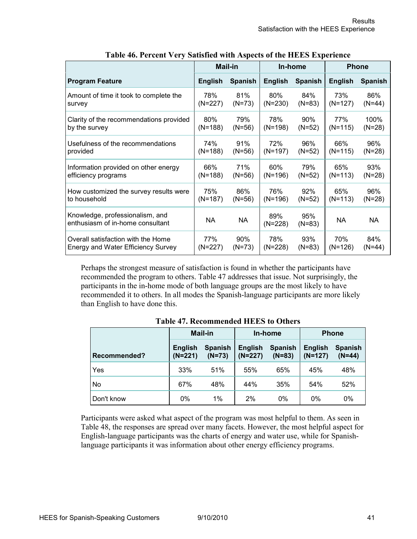|                                                                     |                | <b>Mail-in</b> |                  | In-home         |                | <b>Phone</b>   |
|---------------------------------------------------------------------|----------------|----------------|------------------|-----------------|----------------|----------------|
| <b>Program Feature</b>                                              | <b>English</b> | <b>Spanish</b> | <b>English</b>   | <b>Spanish</b>  | <b>English</b> | <b>Spanish</b> |
| Amount of time it took to complete the                              | 78%            | 81%            | 80%              | 84%             | 73%            | 86%            |
| survey                                                              | $(N=227)$      | $(N=73)$       | $(N=230)$        | $(N=83)$        | $(N=127)$      | $(N=44)$       |
| Clarity of the recommendations provided                             | 80%            | 79%            | 78%              | 90%             | 77%            | 100%           |
| by the survey                                                       | $(N=188)$      | $(N=56)$       | $(N=198)$        | $(N=52)$        | $(N=115)$      | $(N=28)$       |
| Usefulness of the recommendations                                   | 74%            | 91%            | 72%              | 96%             | 66%            | 96%            |
| provided                                                            | $(N=188)$      | $(N=56)$       | $(N=197)$        | $(N=52)$        | $(N=115)$      | $(N=28)$       |
| Information provided on other energy                                | 66%            | 71%            | 60%              | 79%             | 65%            | 93%            |
| efficiency programs                                                 | $(N=188)$      | $(N=56)$       | $(N=196)$        | $(N=52)$        | $(N=113)$      | $(N=28)$       |
| How customized the survey results were                              | 75%            | 86%            | 76%              | 92%             | 65%            | 96%            |
| to household                                                        | $(N=187)$      | $(N=56)$       | $(N=196)$        | $(N=52)$        | $(N=113)$      | $(N=28)$       |
| Knowledge, professionalism, and<br>enthusiasm of in-home consultant | <b>NA</b>      | <b>NA</b>      | 89%<br>$(N=228)$ | 95%<br>$(N=83)$ | <b>NA</b>      | <b>NA</b>      |
| Overall satisfaction with the Home                                  | 77%            | $90\%$         | 78%              | 93%             | 70%            | 84%            |
| Energy and Water Efficiency Survey                                  | $(N=227)$      | $(N=73)$       | $(N=228)$        | $(N=83)$        | $(N=126)$      | $(N=44)$       |

<span id="page-46-1"></span><span id="page-46-0"></span>**Table 46. Percent Very Satisfied with Aspects of the HEES Experience**

Perhaps the strongest measure of satisfaction is found in whether the participants have recommended the program to others. [Table 47](#page-46-2) addresses that issue. Not surprisingly, the participants in the in-home mode of both language groups are the most likely to have recommended it to others. In all modes the Spanish-language participants are more likely than English to have done this.

|              |                           | <b>Mail-in</b>             |                             | In-home                    | <b>Phone</b>                |                            |  |
|--------------|---------------------------|----------------------------|-----------------------------|----------------------------|-----------------------------|----------------------------|--|
| Recommended? | <b>English</b><br>(N=221) | <b>Spanish</b><br>$(N=73)$ | <b>English</b><br>$(N=227)$ | <b>Spanish</b><br>$(N=83)$ | <b>English</b><br>$(N=127)$ | <b>Spanish</b><br>$(N=44)$ |  |
| Yes          | 33%                       | 51%                        | 55%                         | 65%                        | 45%                         | 48%                        |  |
| No.          | 67%                       | 48%                        | 44%                         | 35%                        | 54%                         | 52%                        |  |
| Don't know   | 0%                        | 1%                         | 2%                          | 0%                         | $0\%$                       | 0%                         |  |

<span id="page-46-2"></span>**Table 47. Recommended HEES to Others**

Participants were asked what aspect of the program was most helpful to them. As seen in [Table 48](#page-47-0), the responses are spread over many facets. However, the most helpful aspect for English-language participants was the charts of energy and water use, while for Spanishlanguage participants it was information about other energy efficiency programs.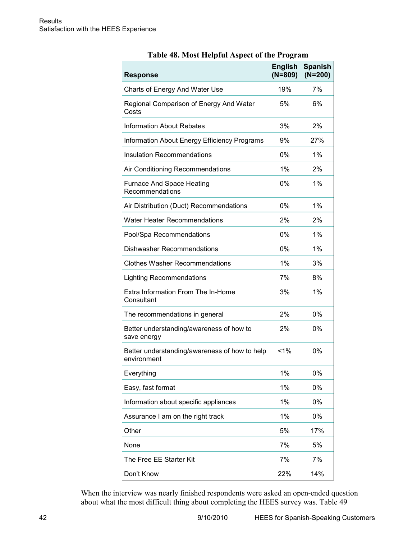| <b>Response</b>                                              | $(N=809)$ | <b>English Spanish</b><br>$(N=200)$ |
|--------------------------------------------------------------|-----------|-------------------------------------|
| Charts of Energy And Water Use                               | 19%       | 7%                                  |
| Regional Comparison of Energy And Water<br>Costs             | 5%        | 6%                                  |
| <b>Information About Rebates</b>                             | 3%        | 2%                                  |
| Information About Energy Efficiency Programs                 | 9%        | 27%                                 |
| <b>Insulation Recommendations</b>                            | 0%        | $1\%$                               |
| Air Conditioning Recommendations                             | 1%        | 2%                                  |
| <b>Furnace And Space Heating</b><br>Recommendations          | 0%        | 1%                                  |
| Air Distribution (Duct) Recommendations                      | 0%        | 1%                                  |
| <b>Water Heater Recommendations</b>                          | 2%        | 2%                                  |
| Pool/Spa Recommendations                                     | 0%        | 1%                                  |
| <b>Dishwasher Recommendations</b>                            | 0%        | 1%                                  |
| <b>Clothes Washer Recommendations</b>                        | 1%        | 3%                                  |
| <b>Lighting Recommendations</b>                              | 7%        | 8%                                  |
| Extra Information From The In-Home<br>Consultant             | 3%        | 1%                                  |
| The recommendations in general                               | 2%        | 0%                                  |
| Better understanding/awareness of how to<br>save energy      | 2%        | $0\%$                               |
| Better understanding/awareness of how to help<br>environment | $1\%$     | 0%                                  |
| Everything                                                   | 1%        | 0%                                  |
| Easy, fast format                                            | 1%        | 0%                                  |
| Information about specific appliances                        | 1%        | 0%                                  |
| Assurance I am on the right track                            | 1%        | 0%                                  |
| Other                                                        | 5%        | 17%                                 |
| None                                                         | 7%        | 5%                                  |
| The Free EE Starter Kit                                      | 7%        | 7%                                  |
| Don't Know                                                   | 22%       | 14%                                 |

<span id="page-47-0"></span>

| Table 48. Most Helpful Aspect of the Program |  |  |  |  |  |  |  |  |  |  |  |  |
|----------------------------------------------|--|--|--|--|--|--|--|--|--|--|--|--|
|----------------------------------------------|--|--|--|--|--|--|--|--|--|--|--|--|

When the interview was nearly finished respondents were asked an open-ended question about what the most difficult thing about completing the HEES surveywas. [Table 49](#page-48-1)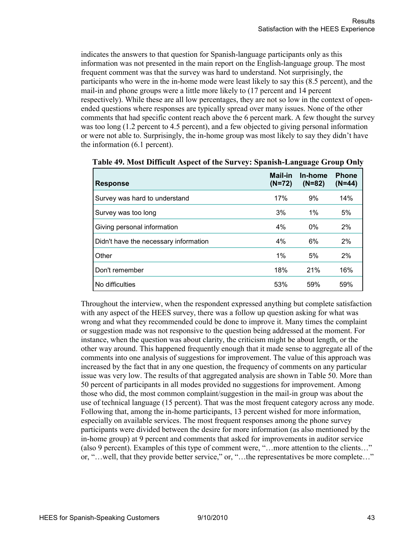<span id="page-48-0"></span>indicates the answers to that question for Spanish-language participants only as this information was not presented in the main report on the English-language group. The most frequent comment was that the survey was hard to understand. Not surprisingly, the participants who were in the in-home mode were least likely to say this (8.5 percent), and the mail-in and phone groups were a little more likely to (17 percent and 14 percent respectively). While these are all low percentages, they are not so low in the context of openended questions where responses are typically spread over many issues. None of the other comments that had specific content reach above the 6 percent mark. A few thought the survey was too long (1.2 percent to 4.5 percent), and a few objected to giving personal information or were not able to. Surprisingly, the in-home group was most likely to say they didn't have the information (6.1 percent).

| <b>Response</b>                       | <b>Mail-in</b><br>$(N=72)$ | In-home<br>$(N=82)$ | <b>Phone</b><br>$(N=44)$ |
|---------------------------------------|----------------------------|---------------------|--------------------------|
| Survey was hard to understand         | 17%                        | 9%                  | 14%                      |
| Survey was too long                   | 3%                         | $1\%$               | 5%                       |
| Giving personal information           | 4%                         | $0\%$               | 2%                       |
| Didn't have the necessary information | 4%                         | 6%                  | 2%                       |
| Other                                 | 1%                         | 5%                  | 2%                       |
| Don't remember                        | 18%                        | 21%                 | 16%                      |
| No difficulties                       | 53%                        | 59%                 | 59%                      |

<span id="page-48-1"></span>

|  |  |  | Table 49. Most Difficult Aspect of the Survey: Spanish-Language Group Only |  |
|--|--|--|----------------------------------------------------------------------------|--|
|  |  |  |                                                                            |  |

Throughout the interview, when the respondent expressed anything but complete satisfaction with any aspect of the HEES survey, there was a follow up question asking for what was wrong and what they recommended could be done to improve it. Many times the complaint or suggestion made was not responsive to the question being addressed at the moment. For instance, when the question was about clarity, the criticism might be about length, or the other way around. This happened frequently enough that it made sense to aggregate all of the comments into one analysis of suggestions for improvement. The value of this approach was increased by the fact that in any one question, the frequency of comments on any particular issue was very low. The results of that aggregated analysis are shownin [Table 50](#page-49-0). More than 50 percent of participants in all modes provided no suggestions for improvement. Among those who did, the most common complaint/suggestion in the mail-in group was about the use of technical language (15 percent). That was the most frequent category across any mode. Following that, among the in-home participants, 13 percent wished for more information, especially on available services. The most frequent responses among the phone survey participants were divided between the desire for more information (as also mentioned by the in-home group) at 9 percent and comments that asked for improvements in auditor service (also 9 percent). Examples of this type of comment were, "…more attention to the clients…" or, "…well, that they provide better service," or, "…the representatives be more complete…"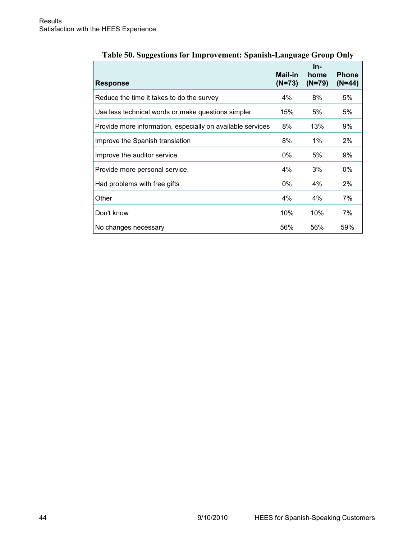| <b>Response</b>                                            | Mail-in<br>$(N=73)$ | In-<br>home<br>$(N=79)$ | <b>Phone</b><br>$(N=44)$ |
|------------------------------------------------------------|---------------------|-------------------------|--------------------------|
| Reduce the time it takes to do the survey                  | $4\%$               | 8%                      | 5%                       |
| Use less technical words or make questions simpler         | 15%                 | 5%                      | 5%                       |
| Provide more information, especially on available services | 8%                  | 13%                     | 9%                       |
| Improve the Spanish translation                            | 8%                  | $1\%$                   | 2%                       |
| Improve the auditor service                                | $0\%$               | 5%                      | 9%                       |
| Provide more personal service.                             | 4%                  | 3%                      | $0\%$                    |
| Had problems with free gifts                               | $0\%$               | 4%                      | 2%                       |
| Other                                                      | 4%                  | $4\%$                   | 7%                       |
| Don't know                                                 | 10%                 | 10%                     | 7%                       |
| No changes necessary                                       | 56%                 | 56%                     | 59%                      |

#### <span id="page-49-0"></span>**Table 50. Suggestions for Improvement: Spanish-Language Group Only**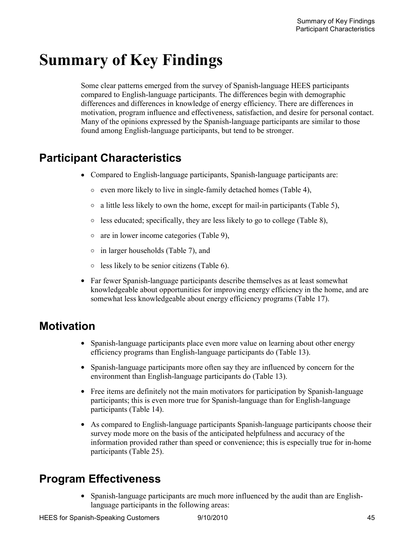## <span id="page-50-1"></span><span id="page-50-0"></span>**Summary of Key Findings**

Some clear patterns emerged from the survey of Spanish-language HEES participants compared to English-language participants. The differences begin with demographic differences and differences in knowledge of energy efficiency. There are differences in motivation, program influence and effectiveness, satisfaction, and desire for personal contact. Many of the opinions expressed by the Spanish-language participants are similar to those found among English-language participants, but tend to be stronger.

## **Participant Characteristics**

- Compared to English-language participants, Spanish-language participants are:
	- $\circ$  even more likely to live in single-family detached homes [\(Table 4\)](#page-16-2),
	- $\circ$ a little less likely to own the home, except for mail-in participants ([Table 5\)](#page-16-3),
	- $\circ$  less educated; specifically, they are less likely to go to college [\(Table 8\)](#page-18-0),
	- are in lower income categories [\(Table 9](#page-18-1)),
	- $\circ$ in larger households ([Table 7](#page-17-1)), and
	- $\circ$ less likely to be senior citizens ([Table 6\)](#page-17-0).
- Far fewer Spanish-language participants describe themselves as at least somewhat knowledgeable about opportunities for improving energy efficiency in the home, and are somewhat less knowledgeable about energy efficiency programs([Table 17](#page-23-1)).

## **Motivation**

- Spanish-language participants place even more value on learning about other energy efficiency programs than English-language participantsdo([Table 13](#page-21-1)).
- Spanish-language participants more often say they are influenced by concern for the environment than English-language participantsdo([Table 13](#page-21-1)).
- Free items are definitely not the main motivators for participation by Spanish-language participants; this is even more true for Spanish-language than for English-language participants([Table 14](#page-21-2)).
- As compared to English-language participants Spanish-language participants choose their survey mode more on the basis of the anticipated helpfulness and accuracy of the information provided rather than speed or convenience; this is especially true for in-home participants([Table 25](#page-27-0)).

## **Program Effectiveness**

• Spanish-language participants are much more influenced by the audit than are Englishlanguage participants in the following areas: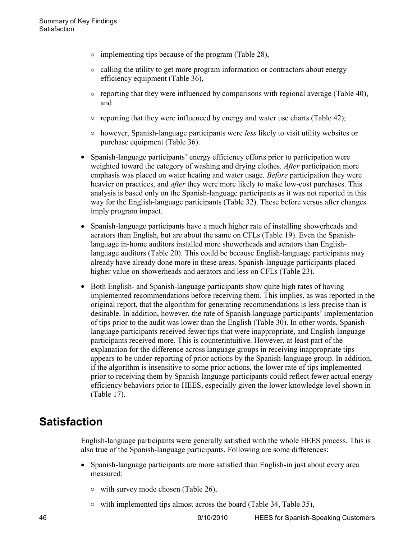- <span id="page-51-0"></span> $\circ$  implementing tips because of the program [\(Table 28\)](#page-31-0),
- $\circ$  calling the utility to get more program information or contractors about energy efficiency equipment([Table 36](#page-40-0)),
- $\circ$ reporting that they were influenced by comparisons with regional average ([Table 40](#page-43-0)), and
- $\circ$ reporting that they were influenced by energy and water use charts ([Table 42](#page-44-1));
- however, Spanish-language participants were *less* likely to visit utility websites or purchase equipment([Table 36](#page-40-0)).
- Spanish-language participants' energy efficiency efforts prior to participation were weighted toward the category of washing and drying clothes. *After* participation more emphasis was placed on water heating and water usage. *Before* participation they were heavier on practices, and *after* they were more likely to make low-cost purchases. This analysis is based only on the Spanish-language participants as it was not reported in this way for the English-language participants [\(Table 32\)](#page-37-0). These before versus after changes imply program impact.
- Spanish-language participants have a much higher rate of installing showerheads and aerators than English, but are about the same on CFLs([Table 19](#page-24-0)). Even the Spanishlanguage in-home auditors installed more showerheads and aerators than Englishlanguage auditors [\(Table 20\)](#page-24-1). This could be because English-language participants may already have already done more in these areas. Spanish-language participants placed higher value on showerheads and aerators and less on CFLs [\(Table 23](#page-26-1)).
- Both English- and Spanish-language participants show quite high rates of having implemented recommendations before receiving them. This implies, as was reported in the original report, that the algorithm for generating recommendations is less precise than is desirable. In addition, however, the rate of Spanish-language participants' implementation of tips prior to the audit was lower than the English [\(Table 30\)](#page-34-0). In other words, Spanishlanguage participants received fewer tips that were inappropriate, and English-language participants received more. This is counterintuitive. However, at least part of the explanation for the difference across language groups in receiving inappropriate tips appears to be under-reporting of prior actions by the Spanish-language group. In addition, if the algorithm is insensitive to some prior actions, the lower rate of tips implemented prior to receiving them by Spanish language participants could reflect fewer actual energy efficiency behaviors prior to HEES, especially given the lower knowledge level shown in [\(Table 17\)](#page-23-1).

### **Satisfaction**

English-language participants were generally satisfied with the whole HEES process. This is also true of the Spanish-language participants. Following are some differences:

- Spanish-language participants are more satisfied than English-in just about every area measured:
	- $\circ$  with survey mode chosen [\(Table 26](#page-28-1)),
	- $\circ$  with implemented tips almost across the board [\(Table](#page-38-1)[34,](#page-38-1) [Table 35](#page-39-1)),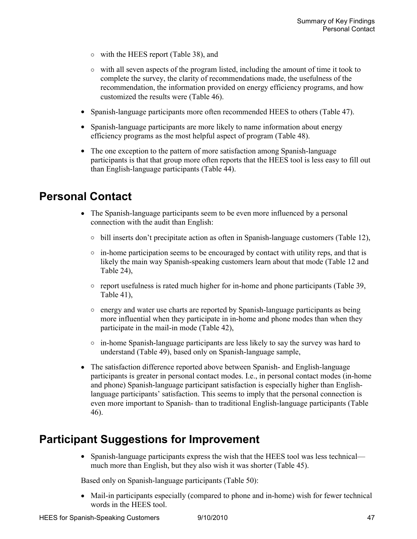- with the HEES report([Table 38](#page-42-0)), and
- <span id="page-52-0"></span> $\circ$  with all seven aspects of the program listed, including the amount of time it took to complete the survey, the clarity of recommendations made, the usefulness of the recommendation, the information provided on energy efficiency programs, and how customized the resultswere([Table 46](#page-46-0)).
- Spanish-language participants more often recommended HEES to others [\(Table 47\)](#page-46-1).
- Spanish-language participants are more likely to name information about energy efficiency programs as the most helpful aspect of program([Table 48\)](#page-47-0).
- The one exception to the pattern of more satisfaction among Spanish-language participants is that that group more often reports that the HEES tool is less easy to fill out than English-language participants [\(Table 44](#page-45-1)).

### **Personal Contact**

- The Spanish-language participants seem to be even more influenced by a personal connection with the audit than English:
	- $\circ$ bill inserts don't precipitate action as often in Spanish-language customers ([Table 12](#page-20-0)),
	- $\circ$  in-home participation seems to be encouraged by contact with utility reps, and that is likely the main way Spanish-speaking customers learn about that mode([Table 12](#page-20-0) and [Table 24](#page-26-2)),
	- $\circ$ report usefulness is rated much higher for in-home and phone participants ([Table 39](#page-42-1), [Table 41](#page-43-1)),
	- $\circ$  energy and water use charts are reported by Spanish-language participants as being more influential when they participate in in-home and phone modes than when they participate in the mail-in mode [\(Table 42\)](#page-44-1),
	- $\circ$  in-home Spanish-language participants are less likely to say the survey was hard to understand([Table 49](#page-48-0)), based only on Spanish-language sample,
- The satisfaction difference reported above between Spanish- and English-language participants is greater in personal contact modes. I.e., in personal contact modes (in-home and phone) Spanish-language participant satisfaction is especially higher than Englishlanguage participants' satisfaction. This seems to imply that the personal connection is even more important to Spanish- than to traditional English-language participants([Table](#page-46-0) [46\)](#page-46-0).

## **Participant Suggestions for Improvement**

• Spanish-language participants express the wish that the HEES tool was less technical much more than English, but they also wish it was shorter [\(Table 45](#page-45-2)).

Based only on Spanish-language participants [\(Table 50\)](#page-49-0):

 Mail-in participants especially (compared to phone and in-home) wish for fewer technical words in the HEES tool.